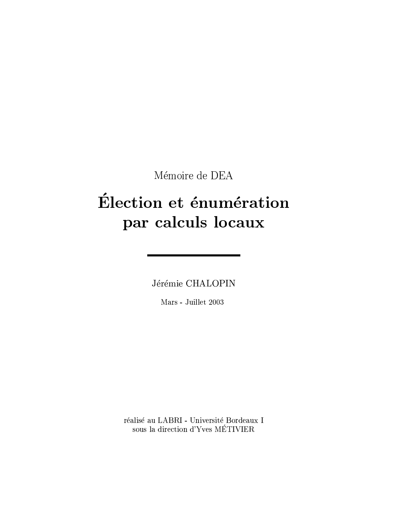Mémoire de DEA

# Élection et énumération par calculs locaux

Jérémie CHALOPIN

Mars - Juillet 2003

réalisé au LABRI - Université Bordeaux I sous la direction d'Yves MÉTIVIER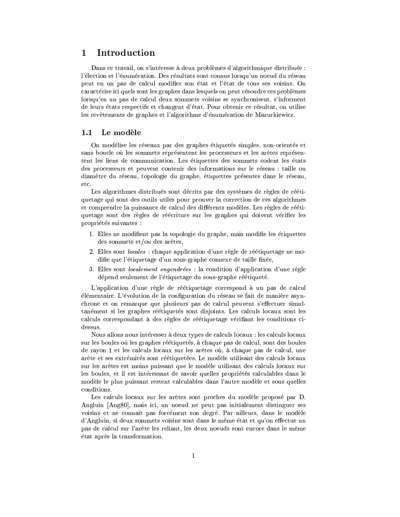### Introduction  $\mathbf{1}$

Dans ce travail, on s'intéresse à deux problèmes d'algorithmique distribuée : l'élection et l'énumération. Des résultats sont connus lorsqu'un noeud du réseau peut en un pas de calcul modifier son état et l'état de tous ses voisins. On caractérise ici quels sont les graphes dans lesquels on peut résoudre ces problèmes lorsqu'en un pas de calcul deux sommets voisins se synchronisent, s'informent de leurs états respectifs et changent d'état. Pour obtenir ce résultat, on utilise les revêtements de graphes et l'algorithme d'énumération de Mazurkiewicz.

### $1.1$ Le modèle

On modélise les réseaux par des graphes étiquetés simples, non-orientés et sans boucle où les sommets représentent les processeurs et les arêtes représentent les liens de communication. Les étiquettes des sommets codent les états des processeurs et peuvent contenir des informations sur le réseau : taille ou diamètre du réseau, topologie du graphe, étiquettes présentes dans le réseau, etc.

Les algorithmes distribués sont décrits par des systèmes de règles de réétiquetage qui sont des outils utiles pour prouver la correction de ces algorithmes et comprendre la puissance de calcul des différents modèles. Les règles de réétiquetage sont des règles de réécriture sur les graphes qui doivent vérifier les propriétés suivantes :

- 1. Elles ne modifient pas la topologie du graphe, mais modifie les étiquettes des sommets et/ou des arêtes,
- 2. Elles sont *locales* : chaque application d'une règle de réétiquetage ne modifie que l'étiquetage d'un sous-graphe connexe de taille fixée,
- 3. Elles sont *localement engendrées* : la condition d'application d'une règle dépend seulement de l'étiquetage du sous-graphe réétiqueté.

L'application d'une règle de réétiquetage correspond à un pas de calcul elementaire. L'évolution de la configuration du réseau se fait de manière asynchrone et on remarque que plusieurs pas de calcul peuvent s'effectuer simultanément si les graphes réétiquetés sont disjoints. Les calculs locaux sont les calculs correspondant à des règles de réétiquetage vérifiant les conditions cidessus.

Nous allons nous intéresser à deux types de calculs locaux : les calculs locaux sur les boules où les graphes réétiquetés, à chaque pas de calcul, sont des boules de rayon 1 et les calculs locaux sur les arêtes où, à chaque pas de calcul, une arête et ses extrémités sont réétiquetées. Le modèle utilisant des calculs locaux sur les arêtes est moins puissant que le modèle utilisant des calculs locaux sur les boules, et il est intéressant de savoir quelles propriétés calculables dans le modèle le plus puissant restent calculables dans l'autre modèle et sous quelles conditions.

Les calculs locaux sur les arêtes sont proches du modèle proposé par D. Angluin [Ang80], mais ici, un noeud ne peut pas initialement distinguer ses voisins et ne connaît pas forcément son degré. Par ailleurs, dans le modèle d'Angluin, si deux sommets voisins sont dans le même état et qu'on effectue un pas de calcul sur l'arête les reliant, les deux noeuds sont encore dans le même état après la transformation.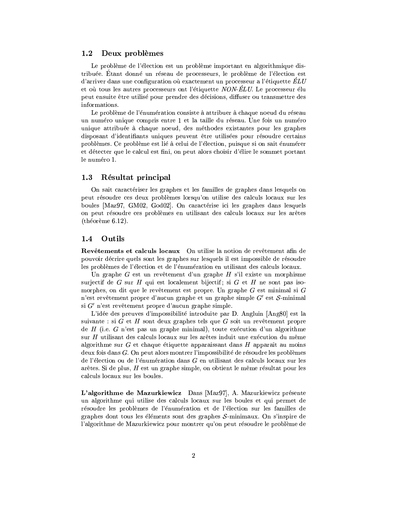### 1.2 Deux problèmes

Le problème de l'élection est un problème important en algorithmique distribuée. Etant donné un réseau de processeurs, le problème de l'élection est d'arriver dans une configuration où exactement un processeur a l'étiquette  $\dot{E}L U$ et où tous les autres processeurs ont l'étiquette NON-ELU. Le processeur élu peut ensuite être utilisé pour prendre des décisions, diffuser ou transmettre des informations.

Le problème de l'énumération consiste à attribuer à chaque noeud du réseau un numéro unique compris entre 1 et la taille du réseau. Une fois un numéro unique attribuée à chaque noeud, des méthodes existantes pour les graphes disposant d'identifiants uniques peuvent être utilisées pour résoudre certains problèmes. Ce problème est lié à celui de l'élection, puisque si on sait énumérer et détecter que le calcul est fini, on peut alors choisir d'élire le sommet portant le numéro 1.

### $1.3$ Résultat principal

On sait caractériser les graphes et les familles de graphes dans lesquels on peut résoudre ces deux problèmes lorsqu'on utilise des calculs locaux sur les boules [Maz97, GM02, God02]. On caractérise ici les graphes dans lesquels on peut résoudre ces problèmes en utilisant des calculs locaux sur les arêtes  $(théor\`eme 6.12).$ 

### 1.4 Outils

Revêtements et calculs locaux On utilise la notion de revêtement afin de pouvoir décrire quels sont les graphes sur lesquels il est impossible de résoudre les problèmes de l'élection et de l'énumération en utilisant des calculs locaux.

Un graphe  $G$  est un revêtement d'un graphe  $H$  s'il existe un morphisme surjectif de G sur H qui est localement bijectif; si G et H ne sont pas isomorphes, on dit que le revêtement est propre. Un graphe  $G$  est minimal si  $G$ n'est revêtement propre d'aucun graphe et un graphe simple  $G'$  est  $S$ -minimal si  $G'$  n'est revêtement propre d'aucun graphe simple.

L'idée des preuves d'impossibilité introduite par D. Angluin [Ang80] est la suivante : si G et H sont deux graphes tels que G soit un revêtement propre de  $H$  (i.e. G n'est pas un graphe minimal), toute exécution d'un algorithme sur H utilisant des calculs locaux sur les arêtes induit une exécution du même algorithme sur  $G$  et chaque étiquette apparaissant dans  $H$  apparaît au moins deux fois dans G. On peut alors montrer l'impossibilité de résoudre les problèmes de l'élection ou de l'énumération dans  $G$  en utilisant des calculs locaux sur les  $arêtes. Si de plus, H est un graphe simple, on obtient le même résultats pour les$ calculs locaux sur les boules.

L'algorithme de Mazurkiewicz Dans [Maz97], A. Mazurkiewicz présente un algorithme qui utilise des calculs locaux sur les boules et qui permet de résoudre les problèmes de l'énumération et de l'élection sur les familles de graphes dont tous les éléments sont des graphes  $S$ -minimaux. On s'inspire de l'algorithme de Mazurkiewicz pour montrer qu'on peut résoudre le problème de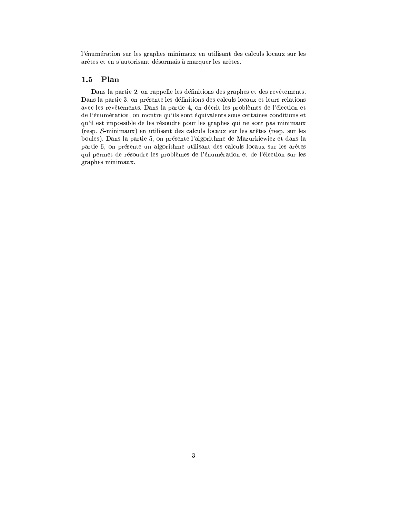l'énumération sur les graphes minimaux en utilisant des calculs locaux sur les arêtes et en s'autorisant désormais à marquer les arêtes.

### 1.5 Plan

Dans la partie 2, on rappelle les définitions des graphes et des revêtements. Dans la partie 3, on présente les définitions des calculs locaux et leurs relations avec les revêtements. Dans la partie 4, on décrit les problèmes de l'élection et de l'énumération, on montre qu'ils sont équivalents sous certaines conditions et qu'il est impossible de les résoudre pour les graphes qui ne sont pas minimaux (resp. S-minimaux) en utilisant des calculs locaux sur les arêtes (resp. sur les boules). Dans la partie 5, on présente l'algorithme de Mazurkiewicz et dans la partie 6, on présente un algorithme utilisant des calculs locaux sur les arêtes qui permet de résoudre les problèmes de l'énumération et de l'élection sur les graphes minimaux.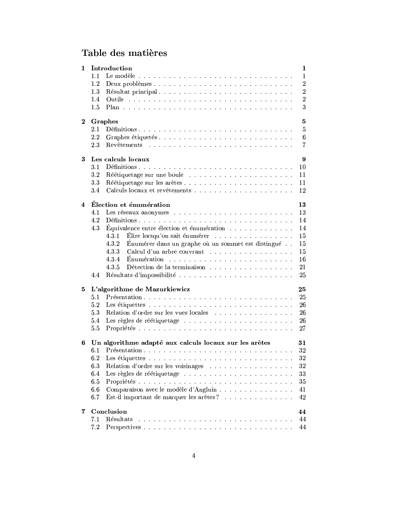# Table des matières

| $\mathbf{1}$            | Introduction<br>1                                            |                                                                                   |  |  |  |  |  |
|-------------------------|--------------------------------------------------------------|-----------------------------------------------------------------------------------|--|--|--|--|--|
|                         | 1.1                                                          | $\mathbf 1$                                                                       |  |  |  |  |  |
|                         | 1.2                                                          | $\boldsymbol{2}$<br>Deux problèmes                                                |  |  |  |  |  |
|                         | 1.3                                                          | $\overline{2}$<br>Résultat principal                                              |  |  |  |  |  |
|                         | 1.4                                                          | $\boldsymbol{2}$                                                                  |  |  |  |  |  |
|                         | 1.5                                                          | 3                                                                                 |  |  |  |  |  |
|                         |                                                              |                                                                                   |  |  |  |  |  |
| $\bf{2}$                | Graphes                                                      |                                                                                   |  |  |  |  |  |
|                         | 2.1                                                          | 5                                                                                 |  |  |  |  |  |
|                         | 2.2                                                          | Graphes étiquetés<br>$6\phantom{.0}$                                              |  |  |  |  |  |
|                         | 2.3                                                          | $\overline{7}$                                                                    |  |  |  |  |  |
|                         |                                                              |                                                                                   |  |  |  |  |  |
| 3                       | Les calculs locaux                                           |                                                                                   |  |  |  |  |  |
|                         | 3.1                                                          | 10                                                                                |  |  |  |  |  |
|                         | 3.2                                                          | 11                                                                                |  |  |  |  |  |
|                         | 3.3                                                          | Réétiquetage sur les arêtes<br>11                                                 |  |  |  |  |  |
|                         | 3.4                                                          | 12                                                                                |  |  |  |  |  |
|                         |                                                              |                                                                                   |  |  |  |  |  |
| $\overline{\mathbf{4}}$ | Élection et énumération<br>13                                |                                                                                   |  |  |  |  |  |
|                         | 4.1                                                          | 13                                                                                |  |  |  |  |  |
|                         | 4.2                                                          | 14                                                                                |  |  |  |  |  |
|                         | 4.3                                                          | Équivalence entre élection et énumération $\ldots \ldots \ldots \ldots$<br>14     |  |  |  |  |  |
|                         |                                                              | Élire lorsqu'on sait énumérer $\ldots \ldots \ldots \ldots \ldots$<br>4.3.1<br>15 |  |  |  |  |  |
|                         |                                                              | 4.3.2<br>Énumérer dans un graphe où un sommet est distingué<br>15                 |  |  |  |  |  |
|                         |                                                              | Calcul d'un arbre couvrant<br>4.3.3<br>15                                         |  |  |  |  |  |
|                         |                                                              | 4.3.4<br>16                                                                       |  |  |  |  |  |
|                         |                                                              | 4.3.5<br>Détection de la terminaison<br>21                                        |  |  |  |  |  |
|                         | 4.4                                                          | Résultats d'impossibilité<br>25                                                   |  |  |  |  |  |
|                         |                                                              |                                                                                   |  |  |  |  |  |
| 5                       | L'algorithme de Mazurkiewicz<br>25                           |                                                                                   |  |  |  |  |  |
|                         | 5.1                                                          | Présentation<br>25                                                                |  |  |  |  |  |
|                         | 5.2                                                          | 26                                                                                |  |  |  |  |  |
|                         | 5.3                                                          | Relation d'ordre sur les vues locales<br>26                                       |  |  |  |  |  |
|                         | 5.4                                                          | 26                                                                                |  |  |  |  |  |
|                         | 5.5                                                          | 27                                                                                |  |  |  |  |  |
|                         |                                                              |                                                                                   |  |  |  |  |  |
| 6                       | Un algorithme adapté aux calculs locaux sur les arêtes<br>31 |                                                                                   |  |  |  |  |  |
|                         | 6.1                                                          | 32                                                                                |  |  |  |  |  |
|                         |                                                              | $32\,$                                                                            |  |  |  |  |  |
|                         | 6.3                                                          | 32<br>Relation d'ordre sur les voisinages                                         |  |  |  |  |  |
|                         | 6.4                                                          | 33                                                                                |  |  |  |  |  |
|                         | 6.5                                                          | 35                                                                                |  |  |  |  |  |
|                         | 6.6                                                          | Comparaison avec le modèle d'Angluin<br>41                                        |  |  |  |  |  |
|                         | 6.7                                                          | Est-il important de marquer les arêtes?<br>42                                     |  |  |  |  |  |
|                         |                                                              |                                                                                   |  |  |  |  |  |
| 7                       | Conclusion                                                   |                                                                                   |  |  |  |  |  |
|                         | 7.1                                                          | 44<br>Résultats<br>44                                                             |  |  |  |  |  |
|                         | 7.2                                                          | 44                                                                                |  |  |  |  |  |
|                         |                                                              |                                                                                   |  |  |  |  |  |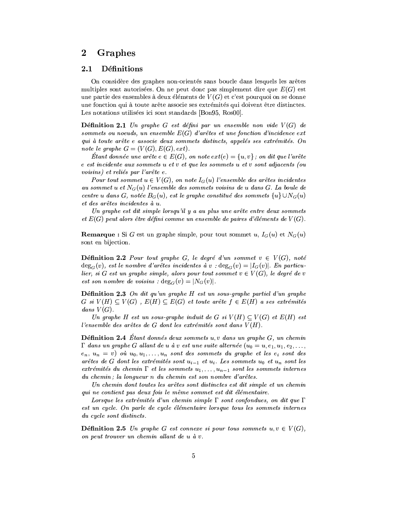### Graphes  $\bf{2}$

### Définitions 2.1

On considère des graphes non-orientés sans boucle dans lesquels les arêtes multiples sont autorisées. On ne peut donc pas simplement dire que  $E(G)$  est une partie des ensembles à deux éléments de  $V(G)$  et c'est pourquoi on se donne une fonction qui à toute arête associe ses extrémités qui doivent être distinctes. Les notations utilisées ici sont standards [Bon95, Ros00]

**Définition 2.1** Un graphe G est défini par un ensemble non vide  $V(G)$  de sommets ou noeuds, un ensemble  $E(G)$  d'arêtes et une fonction d'incidence ext qui à toute arête e associe deux sommets distincts, appelés ses extrémités. On note le graphe  $G = (V(G), E(G), ext)$ .

Etant donnée une arête  $e \in E(G)$ , on note  $ext(e) = \{u, v\}$ ; on dit que l'arête e est incidente aux sommets u et v et que les sommets u et v sont adjacents (ou voisins) et reliés par l'arête e.

Pour tout sommet  $u \in V(G)$ , on note  $I_G(u)$  l'ensemble des arêtes incidentes au sommet u et  $N_G(u)$  l'ensemble des sommets voisins de u dans G. La boule de centre u dans G, notée  $B_G(u)$ , est le graphe constitué des sommets  $\{u\} \cup N_G(u)$ et des arêtes incidentes à u.

Un graphe est dit simple lorsqu'il y a au plus une arête entre deux sommets et  $E(G)$  peut alors être défini comme un ensemble de paires d'éléments de  $V(G)$ .

**Remarque**: Si G est un graphe simple, pour tout sommet u,  $I_G(u)$  et  $N_G(u)$ sont en bijection.

**Définition 2.2** Pour tout graphe G, le degré d'un sommet  $v \in V(G)$ , noté  $\deg_G(v)$ , est le nombre d'arêtes incidentes à v :  $\deg_G(v) = |I_G(v)|$ . En particulier, si G est un graphe simple, alors pour tout sommet  $v \in V(G)$ , le degré de v est son nombre de voisins :  $deg_G(v) = |N_G(v)|$ .

**Définition 2.3** On dit qu'un graphe  $H$  est un sous-graphe partiel d'un graphe  $G$  si  $V(H) \subseteq V(G)$ ,  $E(H) \subseteq E(G)$  et toute arête  $f \in E(H)$  a ses extrémités dans  $V(G)$ .

Un graphe H est un sous-graphe induit de G si  $V(H) \subset V(G)$  et  $E(H)$  est l'ensemble des arêtes de  $G$  dont les extrémités sont dans  $V(H)$ .

**Définition 2.4** Etant donnés deux sommets  $u, v$  dans un graphe  $G$ , un chemin  $\Gamma$  dans un graphe G allant de u à v est une suite alternée  $(u_0 = u, e_1, u_1, e_2, \ldots,$  $(e_n, u_n = v)$  où  $u_0, u_1, \ldots, u_n$  sont des sommets du graphe et les  $e_i$  sont des arêtes de G dont les extrémités sont  $u_{i-1}$  et  $u_i$ . Les sommets  $u_0$  et  $u_n$  sont les extrémités du chemin  $\Gamma$  et les sommets  $u_1, \ldots, u_{n-1}$  sont les sommets internes du chemin; la longueur n du chemin est son nombre d'arêtes.

Un chemin dont toutes les arêtes sont distinctes est dit simple et un chemin qui ne contient pas deux fois le même sommet est dit élémentaire.

Lorsque les extrémités d'un chemin simple  $\Gamma$  sont confondues, on dit que  $\Gamma$ est un cycle. On parle de cycle élémentaire lorsque tous les sommets internes du cycle sont distincts.

**Définition 2.5** Un graphe G est connexe si pour tous sommets  $u, v \in V(G)$ , on peut trouver un chemin allant de u à v.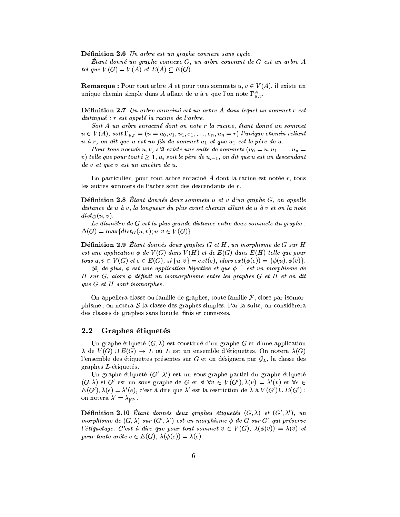Définition 2.6 Un arbre est un graphe connexe sans cycle.

Étant donné un graphe connexe  $G$ , un arbre couvrant de  $G$  est un arbre  $A$ tel que  $V(G) = V(A)$  et  $E(A) \subset E(G)$ .

**Remarque :** Pour tout arbre A et pour tous sommets  $u, v \in V(A)$ , il existe un unique chemin simple dans A allant de u à v que l'on note  $\Gamma_{u,v}^A$ .

**Définition 2.7** Un arbre enraciné est un arbre A dans lequel un sommet r est  $distinguishive : r \text{ } est \text{ } appel\acute{e} \text{ } la \text{ } racine \text{ } de \text{ } l'arbre.$ 

Soit A un arbre enraciné dont on note r la racine, étant donné un sommet  $u \in V(A)$ , soit  $\Gamma_{u,r} = (u = u_0, e_1, u_1, e_1, \ldots, e_n, u_n = r)$  l'unique chemin reliant u à r, on dit que u est un fils du sommet u<sub>1</sub> et que u<sub>1</sub> est le père de u.

Pour tous noeuds u, v, s'il existe une suite de sommets  $(u_0 = u, u_1, \ldots, u_n =$ v) telle que pour tout  $i \geq 1$ ,  $u_i$  soit le père de  $u_{i-1}$ , on dit que u est un descendant de v et que v est un ancêtre de u.

En particulier, pour tout arbre enraciné  $A$  dont la racine est notée  $r$ , tous les autres sommets de l'arbre sont des descendants de r.

**Définition 2.8** Étant donnés deux sommets  $u$  et  $v$  d'un graphe  $G$ , on appelle distance de u à v, la longueur du plus court chemin allant de u à v et on la note  $dist_G(u, v)$ .

Le diamètre de G est la plus grande distance entre deux sommets du graphe :  $\Delta(G) = \max\{dist_G(u,v); u,v \in V(G)\}.$ 

**Définition 2.9** Étant donnés deux graphes  $G$  et  $H$ , un morphisme de  $G$  sur  $H$ est une application  $\phi$  de  $V(G)$  dans  $V(H)$  et de  $E(G)$  dans  $E(H)$  telle que pour tous  $u, v \in V(G)$  et  $e \in E(G)$ ,  $si \{u, v\} = ext(e)$ , alors  $ext(\phi(e)) = {\phi(u), \phi(v)}$ .

Si, de plus,  $\phi$  est une application bijective et que  $\phi^{-1}$  est un morphisme de H sur  $G$ , alors  $\phi$  définit un isomorphisme entre les graphes  $G$  et  $H$  et on dit que  $G$  et  $H$  sont isomorphes.

On appellera classe ou famille de graphes, toute famille  $\mathcal F$ , close par isomorphisme; on notera  $S$  la classe des graphes simples. Par la suite, on considèrera des classes de graphes sans boucle, finis et connexes.

### Graphes étiquetés  $\bf 2.2$

Un graphe étiqueté  $(G, \lambda)$  est constitué d'un graphe G et d'une application  $\lambda$  de  $V(G) \cup E(G) \rightarrow L$  où L est un ensemble d'étiquettes. On notera  $\lambda(G)$ l'ensemble des étiquettes présentes sur G et on désignera par  $\mathcal{G}_L$ , la classe des graphes  $L$ -étiquetés.

Un graphe étiqueté  $(G', \lambda')$  est un sous-graphe partiel du graphe étiqueté  $(G, \lambda)$  si G' est un sous graphe de G et si  $\forall v \in V(G'), \lambda(v) = \lambda'(v)$  et  $\forall e \in$  $E(G'), \lambda(e) = \lambda'(e),$  c'est à dire que  $\lambda'$  est la restriction de  $\lambda$  à  $V(G') \cup E(G')$ : on notera  $\lambda' = \lambda_{|G|}.$ 

**Définition 2.10** Etant donnés deux graphes étiquetés  $(G, \lambda)$  et  $(G', \lambda')$ , un morphisme de  $(G, \lambda)$  sur  $(G', \lambda')$  est un morphisme  $\phi$  de G sur G' qui préserve l'étiquetage. C'est à dire que pour tout sommet  $v \in V(G)$ ,  $\lambda(\phi(v)) = \lambda(v)$  et pour toute arête  $e \in E(G)$ ,  $\lambda(\phi(e)) = \lambda(e)$ .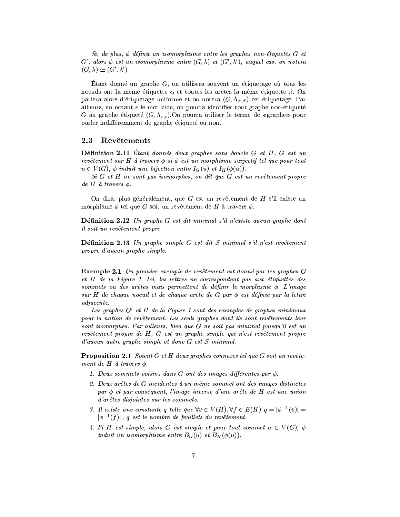$Si, de plus,  $\phi$  définit un isomorphisme entre les graphs enon-étiquetés G et$  $G'$ , alors  $\phi$  est un isomorphisme entre  $(G, \lambda)$  et  $(G', \lambda')$ , auquel cas, on notera  $(G, \lambda) \simeq (G', \lambda').$ 

Etant donné un graphe  $G$ , on utilisera souvent un étiquetage où tous les noeuds ont la même étiquette  $\alpha$  et toutes les arêtes la même étiquette  $\beta$ . On parlera alors d'étiquetage uniforme et on notera  $(G, \Lambda_{\alpha,\beta})$  cet étiquetage. Par ailleurs, en notant  $\epsilon$  le mot vide, on pourra identifier tout graphe non-étiqueté G au graphe étiqueté  $(G, \Lambda_{\epsilon,\epsilon})$ .On pourra utiliser le terme de «graphe» pour parler indifféremment de graphe étiqueté ou non.

### 2.3 Revêtements

**Définition 2.11** Etant donnés deux graphes sans boucle  $G$  et  $H$ ,  $G$  est un revêtement sur H à travers  $\phi$  si  $\phi$  est un morphisme surjectif tel que pour tout  $u \in V(G)$ ,  $\phi$  induit une bijection entre  $I_G(u)$  et  $I_H(\phi(u))$ .

 $Si$  G et H ne sont pas isomorphes, on dit que G est un revêtement propre de H à travers  $\phi$ .

On dira, plus généralement, que  $G$  est un revêtement de  $H$  s'il existe un morphisme  $\phi$  tel que G soit un revêtement de H à travers  $\phi$ .

**Définition 2.12** Un graphe G est dit minimal s'il n'existe aucun graphe dont il soit un revêtement propre.

**Définition 2.13** Un graphe simple  $G$  est dit  $S$ -minimal s'il n'est revêtement propre d'aucun graphe simple.

**Exemple 2.1** Un premier exemple de revêtement est donné par les graphes G et H de la Figure 1. Ici, les lettres ne correspondent pas aux étiquettes des sommets ou des arêtes mais permettent de définir le morphisme  $\phi$ . L'image sur H de chaque noeud et de chaque arête de G par  $\phi$  est définie par la lettre adjacente.

Les graphes  $G'$  et H de la Figure 1 sont des exemples de graphes minimaux pour la notion de revêtement. Les seuls graphes dont ils sont revêtements leur sont isomorphes. Par ailleurs, bien que G ne soit pas minimal puisqu'il est un revêtement propre de H, G est un graphe simple qui n'est revêtement propre  $d'aucun \ aurre \ graphe \ simple \ et \ donc \ G \ est \ S-minimal.$ 

**Proposition 2.1** Soient  $G$  et  $H$  deux graphes connexes tel que  $G$  soit un revêtement de H à travers  $\phi$ .

- 1. Deux sommets voisins dans  $G$  ont des images différentes par  $\phi$ .
- 2. Deux arêtes de G incidentes à un même sommet ont des images distinctes par  $\phi$  et par conséquent, l'image inverse d'une arête de H est une union d'arêtes disjointes sur les sommets.
- 3. Il existe une constante q telle que  $\forall v \in V(H)$ ,  $\forall f \in E(H)$ ,  $q = |\phi^{-1}(v)| =$  $|\phi^{-1}(f)|$ ; q est le nombre de feuillets du revêtement.
- 4. Si H est simple, alors G est simple et pour tout sommet  $u \in V(G)$ ,  $\phi$ induit un isomorphisme entre  $B_G(u)$  et  $B_H(\phi(u))$ .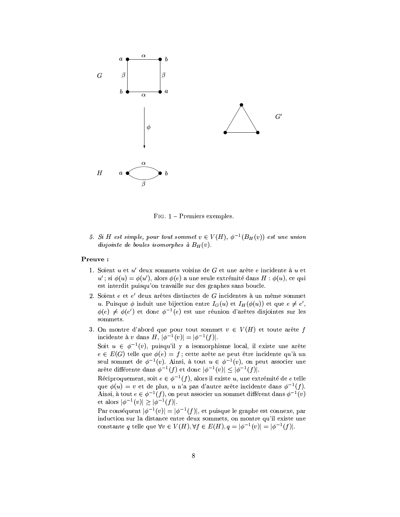

FIG.  $1$  – Premiers exemples.

5. Si H est simple, pour tout sommet  $v \in V(H)$ ,  $\phi^{-1}(B_H(v))$  est une union disjointe de boules isomorphes à  $B_H(v)$ .

# Preuve:

- 1. Soient u et u' deux sommets voisins de G et une arête e incidente à u et  $u'$ ; si  $\phi(u) = \phi(u')$ , alors  $\phi(e)$  a une seule extrémité dans  $H : \phi(u)$ , ce qui est interdit puisqu'on travaille sur des graphes sans boucle.
- 2. Soient e et e' deux arêtes distinctes de G incidentes à un même sommet u. Puisque  $\phi$  induit une bijection entre  $I_G(u)$  et  $I_H(\phi(u))$  et que  $e \neq e'$ ,  $\phi(e) \neq \phi(e')$  et donc  $\phi^{-1}(e)$  est une réunion d'arêtes disjointes sur les sommets.
- 3. On montre d'abord que pour tout sommet  $v \in V(H)$  et toute arête f incidente à v dans  $H$ ,  $|\phi^{-1}(v)| = |\phi^{-1}(f)|$ .

Soit  $u \in \phi^{-1}(v)$ , puisqu'il y a isomorphisme local, il existe une arête  $e \in E(G)$  telle que  $\phi(e) = f$ ; cette arête ne peut être incidente qu'à un seul sommet de  $\phi^{-1}(v)$ . Ainsi, à tout  $u \in \phi^{-1}(v)$ , on peut associer une arête différente dans  $\phi^{-1}(f)$  et donc  $|\phi^{-1}(v)| \leq |\phi^{-1}(f)|$ .

Réciproquement, soit  $e \in \phi^{-1}(f)$ , alors il existe u, une extrémité de e telle que  $\phi(u) = v$  et de plus, u n'a pas d'autre arête incidente dans  $\phi^{-1}(f)$ . Ainsi, à tout  $e \in \phi^{-1}(f)$ , on peut associer un sommet différent dans  $\phi^{-1}(v)$ et alors  $|\phi^{-1}(v)| \geq |\phi^{-1}(f)|$ .

Par conséquent  $|\phi^{-1}(v)| = |\phi^{-1}(f)|$ , et puisque le graphe est connexe, par induction sur la distance entre deux sommets, on montre qu'il existe une constante q telle que  $\forall v \in V(H), \forall f \in E(H), q = |\phi^{-1}(v)| = |\phi^{-1}(f)|.$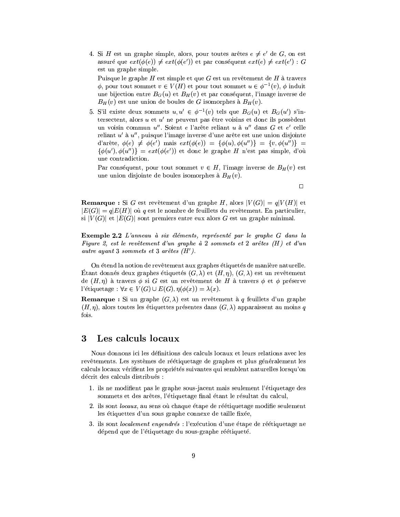4. Si H est un graphe simple, alors, pour toutes arêtes  $e \neq e'$  de G, on est assuré que  $ext(\phi(e)) \neq ext(\phi(e'))$  et par conséquent  $ext(e) \neq ext(e') : G$ est un graphe simple.

Puisque le graphe  $H$  est simple et que  $G$  est un revêtement de  $H$  à travers  $\phi$ , pour tout sommet  $v \in V(H)$  et pour tout sommet  $u \in \phi^{-1}(v)$ ,  $\phi$  induit une bijection entre  $B_G(u)$  et  $B_H(v)$  et par conséquent, l'image inverse de  $B_H(v)$  est une union de boules de G isomorphes à  $B_H(v)$ .

5. S'il existe deux sommets  $u, u' \in \phi^{-1}(v)$  tels que  $B_G(u)$  et  $B_G(u')$  s'intersectent, alors  $u$  et  $u'$  ne peuvent pas être voisins et donc ils possèdent un voisin commun u". Soient e l'arête reliant u à u" dans G et e' celle reliant  $u'$  à  $u''$ , puisque l'image inverse d'une arête est une union disjointe d'arête,  $\phi(e) \neq \phi(e')$  mais  $ext(\phi(e)) = {\phi(u), \phi(u'')} = {v, \phi(u'')} =$  $\{\phi(u'), \phi(u'')\} = ext(\phi(e'))$  et donc le graphe H n'est pas simple, d'où une contradiction.

Par conséquent, pour tout sommet  $v \in H$ , l'image inverse de  $B_H(v)$  est une union disjointe de boules isomorphes à  $B_H(v)$ .

 $\Box$ 

**Remarque**: Si G est revêtement d'un graphe H, alors  $|V(G)| = q|V(H)|$  et  $|E(G)| = q|E(H)|$  où q est le nombre de feuillets du revêtement. En particulier, si  $|V(G)|$  et  $|E(G)|$  sont premiers entre eux alors G est un graphe minimal.

**Exemple 2.2** L'anneau à six éléments, représenté par le graphe G dans la Figure 2, est le revêtement d'un graphe à 2 sommets et 2 arêtes  $(H)$  et d'un autre ayant 3 sommets et 3 arêtes  $(H')$ .

On étend la notion de revêtement aux graphes étiquetés de manière naturelle. Étant donnés deux graphes étiquetés  $(G, \lambda)$  et  $(H, \eta)$ ,  $(G, \lambda)$  est un revêtement de  $(H, \eta)$  à travers  $\phi$  si G est un revêtement de H à travers  $\phi$  et  $\phi$  préserve l'étiquetage :  $\forall x \in V(G) \cup E(G), \eta(\phi(x)) = \lambda(x)$ .

**Remarque**: Si un graphe  $(G, \lambda)$  est un revêtement à q feuillets d'un graphe  $(H, \eta)$ , alors toutes les étiquettes présentes dans  $(G, \lambda)$  apparaissent au moins q fois.

### Les calculs locaux 3

Nous donnons ici les définitions des calculs locaux et leurs relations avec les revêtements. Les systèmes de réétiquetage de graphes et plus généralement les calculs locaux vérifient les propriétés suivantes qui semblent naturelles lorsqu'on décrit des calculs distribués :

- 1. ils ne modifient pas le graphe sous-jacent mais seulement l'étiquetage des sommets et des arêtes, l'étiquetage final étant le résultat du calcul,
- 2. ils sont locaux, au sens où chaque étape de réétiquetage modifie seulement les étiquettes d'un sous graphe connexe de taille fixée.
- 3. ils sont localement engendrés : l'exécution d'une étape de réétiquetage ne dépend que de l'étiquetage du sous-graphe réétiqueté.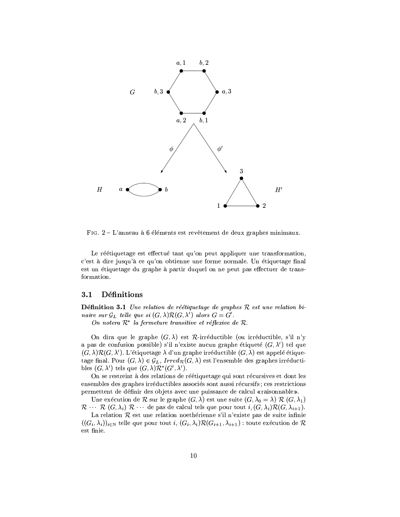

FIG. 2 – L'anneau à 6 éléments est revêtement de deux graphes minimaux.

Le réétiquetage est effectué tant qu'on peut appliquer une transformation, c'est à dire jusqu'à ce qu'on obtienne une forme normale. Un étiquetage final est un étiquetage du graphe à partir duquel on ne peut pas effectuer de transformation.

### **Définitions**  $3.1$

**Définition 3.1** Une relation de réétiquetage de graphes  $\mathcal{R}$  est une relation binaire sur  $\mathcal{G}_L$  telle que si  $(G, \lambda)\mathcal{R}(G, \lambda')$  alors  $G = G'$ .

On notera  $\mathcal{R}^*$  la fermeture transitive et réflexive de  $\mathcal{R}$ .

On dira que le graphe  $(G, \lambda)$  est  $\mathcal{R}$ -irréductible (ou irréductible, s'il n'y a pas de confusion possible) s'il n'existe aucun graphe étiqueté  $(G, \lambda')$  tel que  $(G, \lambda)\mathcal{R}(G, \lambda')$ . L'étiquetage  $\lambda$  d'un graphe irréductible  $(G, \lambda)$  est appelé étiquetage final. Pour  $(G, \lambda) \in \mathcal{G}_L$ , Irred<sub>R</sub> $(G, \lambda)$  est l'ensemble des graphes irréductibles  $(G, \lambda')$  tels que  $(G, \lambda)\mathcal{R}^*(G', \lambda')$ .

On se restreint à des relations de réétiquetage qui sont récursives et dont les ensembles des graphes irréductibles associés sont aussi récursifs; ces restrictions permettent de définir des objets avec une puissance de calcul «raisonnable».

Une exécution de  $R$  sur le graphe  $(G, \lambda)$  est une suite  $(G, \lambda_0 = \lambda) R (G, \lambda_1)$  $\mathcal{R} \cdots \mathcal{R}$   $(G, \lambda_i)$   $\mathcal{R} \cdots$  de pas de calcul tels que pour tout  $i, (G, \lambda_i) \mathcal{R} (G, \lambda_{i+1}).$ 

La relation  $R$  est une relation noethérienne s'il n'existe pas de suite infinie  $((G_i, \lambda_i))_{i \in \mathbb{N}}$  telle que pour tout  $i, (G_i, \lambda_i) \mathcal{R}(G_{i+1}, \lambda_{i+1})$ : toute exécution de  $\mathcal{R}$ est finie.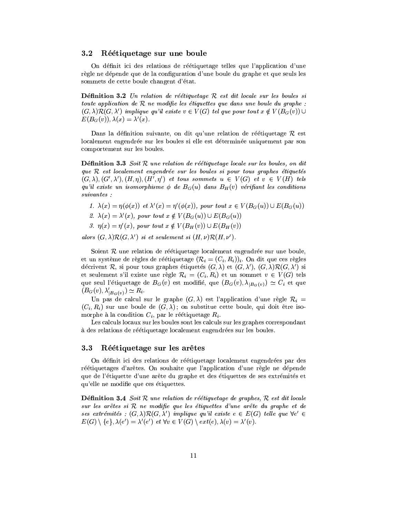### $3.2\,$ Réétiquetage sur une boule

On définit ici des relations de réétiquetage telles que l'application d'une règle ne dépende que de la configuration d'une boule du graphe et que seuls les sommets de cette boule changent d'état.

**Définition 3.2** Un relation de réétiquetage  $R$  est dit locale sur les boules si toute application de  $R$  ne modifie les étiquettes que dans une boule du graphe :  $(G, \lambda)\mathcal{R}(G, \lambda')$  implique qu'il existe  $v \in V(G)$  tel que pour tout  $x \notin V(B_G(v)) \cup$  $E(B_G(v)), \lambda(x) = \lambda'(x).$ 

Dans la définition suivante, on dit qu'une relation de réétiquetage  $\mathcal R$  est localement engendrée sur les boules si elle est déterminée uniquement par son comportement sur les boules.

**Définition 3.3** Soit  $\mathcal{R}$  une relation de réétiquetage locale sur les boules, on dit que  $R$  est localement engendrée sur les boules si pour tous graphes étiquetés  $(G, \lambda), (G', \lambda'), (H, \eta), (H', \eta')$  et tous sommets  $u \in V(G)$  et  $v \in V(H)$  tels qu'il existe un isomorphisme  $\phi$  de  $B_G(u)$  dans  $B_H(v)$  vérifiant les conditions  $suivantes$ :

- 1.  $\lambda(x) = \eta(\phi(x))$  et  $\lambda'(x) = \eta'(\phi(x))$ , pour tout  $x \in V(B_G(u)) \cup E(B_G(u))$
- 2.  $\lambda(x) = \lambda'(x)$ , pour tout  $x \notin V(B_G(u)) \cup E(B_G(u))$
- 3.  $\eta(x) = \eta'(x)$ , pour tout  $x \notin V(B_H(v)) \cup E(B_H(v))$

alors  $(G, \lambda)\mathcal{R}(G, \lambda')$  si et seulement si  $(H, \nu)\mathcal{R}(H, \nu')$ .

Soient  $R$  une relation de réétiquetage localement engendrée sur une boule, et un système de règles de réétiquetage  $(\mathcal{R}_i = (C_i, R_i))_i$ . On dit que ces règles décrivent R, si pour tous graphes étiquetés  $(G, \lambda)$  et  $(G, \lambda')$ ,  $(G, \lambda) \mathcal{R}(G, \lambda')$  si et seulement s'il existe une règle  $\mathcal{R}_i = (C_i, R_i)$  et un sommet  $v \in V(G)$  tels que seul l'étiquetage de  $B_G(v)$  est modifié, que  $(B_G(v), \lambda_{|B_G(v)}) \simeq C_i$  et que  $(B_G(v), \lambda'_{|B_G(v)}) \simeq R_i.$ 

Un pas de calcul sur le graphe  $(G, \lambda)$  est l'application d'une règle  $\mathcal{R}_i$  =  $(C_i, R_i)$  sur une boule de  $(G, \lambda)$ ; on substitue cette boule, qui doit être isomorphe à la condition  $C_i$ , par le réétiquetage  $R_i$ .

Les calculs locaux sur les boules sont les calculs sur les graphes correspondant à des relations de réétiquetage localement engendrées sur les boules.

### 3.3 Réétiquetage sur les arêtes

On définit ici des relations de réétiquetage localement engendrées par des réétiquetages d'arêtes. On souhaite que l'application d'une règle ne dépende que de l'étiquette d'une arête du graphe et des étiquettes de ses extrémités et qu'elle ne modifie que ces étiquettes.

**Définition 3.4** Soit  $R$  une relation de réétiquetage de graphes,  $R$  est dit locale sur les arêtes si R ne modifie que les étiquettes d'une arête du graphe et de ses extrémités :  $(G, \lambda)\mathcal{R}(G, \lambda')$  implique qu'il existe  $e \in E(G)$  telle que  $\forall e' \in$  $E(G) \setminus \{e\}, \lambda(e') = \lambda'(e') \text{ et } \forall v \in V(G) \setminus ext(e), \lambda(v) = \lambda'(v).$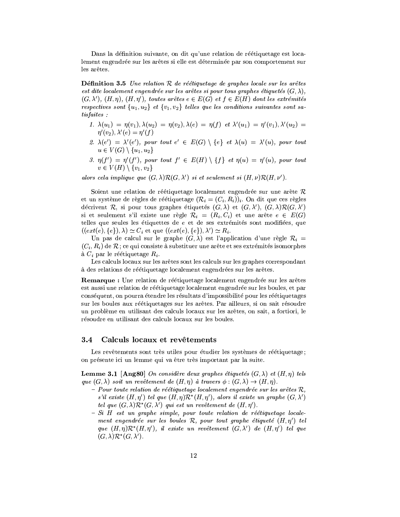Dans la définition suivante, on dit qu'une relation de réétiquetage est localement engendrée sur les arêtes si elle est déterminée par son comportement sur les arêtes.

**Définition 3.5** Une relation  $R$  de réétiquetage de graphes locale sur les arêtes est dite localement engendrée sur les arêtes si pour tous graphes étiquetés  $(G, \lambda)$ ,  $(G, \lambda'), (H, \eta), (H, \eta'),$  toutes arêtes  $e \in E(G)$  et  $f \in E(H)$  dont les extrémités respectives sont  $\{u_1, u_2\}$  et  $\{v_1, v_2\}$  telles que les conditions suivantes sont sa $t$ isfaites:

- 1.  $\lambda(u_1) = \eta(v_1), \lambda(u_2) = \eta(v_2), \lambda(e) = \eta(f)$  et  $\lambda'(u_1) = \eta'(v_1), \lambda'(u_2) =$  $\eta'(v_2), \lambda'(e) = \eta'(f)$
- 2.  $\lambda(e') = \lambda'(e'),$  pour tout  $e' \in E(G) \setminus \{e\}$  et  $\lambda(u) = \lambda'(u),$  pour tout  $u \in V(G) \setminus \{u_1, u_2\}$
- 3.  $\eta(f') = \eta'(f')$ , pour tout  $f' \in E(H) \setminus \{f\}$  et  $\eta(u) = \eta'(u)$ , pour tout  $v \in V(H) \setminus \{v_1, v_2\}$

alors cela implique que  $(G, \lambda) \mathcal{R}(G, \lambda')$  si et seulement si  $(H, \nu) \mathcal{R}(H, \nu')$ .

Soient une relation de réétiquetage localement engendrée sur une arête  $\mathcal R$ et un système de règles de réétiquetage  $(\mathcal{R}_i = (C_i, R_i))_i$ . On dit que ces règles décrivent R, si pour tous graphes étiquetés  $(G, \lambda)$  et  $(G, \lambda')$ ,  $(G, \lambda)\mathcal{R}(G, \lambda')$ si et seulement s'il existe une règle  $\mathcal{R}_i = (R_i, C_i)$  et une arête  $e \in E(G)$ telles que seules les étiquettes de  $e$  et de ses extrémités sont modifiées, que  $((ext(e), \{e\}), \lambda) \simeq C_i$  et que  $((ext(e), \{e\}), \lambda') \simeq R_i$ .

Un pas de calcul sur le graphe  $(G, \lambda)$  est l'application d'une règle  $\mathcal{R}_i =$  $(C_i, R_i)$  de R; ce qui consiste à substituer une arête et ses extrémités isomorphes à  $C_i$  par le réétiquetage  $R_i$ .

Les calculs locaux sur les arêtes sont les calculs sur les graphes correspondant à des relations de réétiquetage localement engendrées sur les arêtes.

Remarque : Une relation de réétiquetage localement engendrée sur les arêtes est aussi une relation de réétiquetage localement engendrée sur les boules, et par conséquent, on pourra étendre les résultats d'impossibilité pour les réétiquetages sur les boules aux réétiquetages sur les arêtes. Par ailleurs, si on sait résoudre un problème en utilisant des calculs locaux sur les arêtes, on sait, a fortiori, le résoudre en utilisant des calculs locaux sur les boules.

### $3.4$ Calculs locaux et revêtements

Les revêtements sont très utiles pour étudier les systèmes de réétiquetage; on présente ici un lemme qui va être très important par la suite.

**Lemme 3.1** [Ang80] On considère deux graphes étiquetés  $(G, \lambda)$  et  $(H, \eta)$  tels que  $(G, \lambda)$  soit un revêtement de  $(H, \eta)$  à travers  $\phi : (G, \lambda) \to (H, \eta)$ .

- Pour toute relation de réétiquetage localement engendrée sur les arêtes  $\mathcal{R},$ s'il existe  $(H, \eta')$  tel que  $(H, \eta) \mathcal{R}^*(H, \eta')$ , alors il existe un graphe  $(G, \lambda')$ tel que  $(G, \lambda)\mathcal{R}^*(G, \lambda')$  qui est un revêtement de  $(H, \eta')$ .
- $Si$  H est un graphe simple, pour toute relation de réétiquetage localement engendrée sur les boules  $R$ , pour tout graphe étiqueté  $(H, \eta')$  tel que  $(H, \eta)\mathcal{R}^*(H, \eta')$ , il existe un revêtement  $(G, \lambda')$  de  $(H, \eta')$  tel que  $(G, \lambda)\mathcal{R}^*(G, \lambda')$ .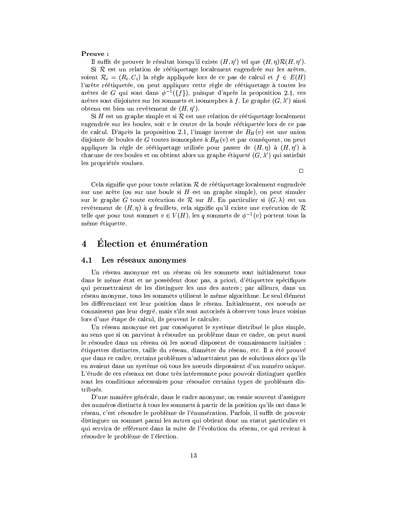# Preuve:

Il suffit de prouver le résultat lorsqu'il existe  $(H, \eta')$  tel que  $(H, \eta) \mathcal{R}(H, \eta')$ .

Si  $R$  est un relation de réétiquetage localement engendrée sur les arêtes, soient  $\mathcal{R}_i = (R_i, C_i)$  la règle appliquée lors de ce pas de calcul et  $f \in E(H)$ l'arête réétiquetée, on peut appliquer cette règle de réétiquetage à toutes les arêtes de G qui sont dans  $\phi^{-1}(\{f\})$ , puisque d'après la proposition 2.1, ces arêtes sont disjointes sur les sommets et isomorphes à f. Le graphe  $(G, \lambda')$  ainsi obtenu est bien un revêtement de  $(H, \eta')$ .

Si H est un graphe simple et si  $R$  est une relation de réétiquetage localement engendrée sur les boules, soit  $v$  le centre de la boule réétiquetée lors de ce pas de calcul. D'après la proposition 2.1, l'image inverse de  $B_H(v)$  est une union disjointe de boules de G toutes isomorphes à  $B_H(v)$  et par conséquent, on peut appliquer la règle de réétiquetage utilisée pour passer de  $(H, \eta)$  à  $(H, \eta')$  à chacune de ces boules et on obtient alors un graphe étiqueté  $(G, \lambda')$  qui satisfait les propriétés voulues.

 $\Box$ 

Cela signifie que pour toute relation  $R$  de réétiquetage localement engendrée sur une arête (ou sur une boule si  $H$  est un graphe simple), on peut simuler sur le graphe G toute exécution de R sur H. En particulier si  $(G, \lambda)$  est un revêtement de  $(H, \eta)$  à q feuillets, cela signifie qu'il existe une exécution de R telle que pour tout sommet  $v \in V(H)$ , les q sommets de  $\phi^{-1}(v)$  portent tous la même étiquette.

### Élection et énumération  $\overline{4}$

### $4.1$ Les réseaux anonymes

Un réseau anonyme est un réseau où les sommets sont initialement tous dans le même état et ne possèdent donc pas, a priori, d'étiquettes spécifiques qui permettraient de les distinguer les uns des autres; par ailleurs, dans un réseau anonyme, tous les sommets utilisent le même algorithme. Le seul élément les différenciant est leur position dans le réseau. Initialement, ces noeuds ne connaissent pas leur degré, mais s'ils sont autorisés à observer tous leurs voisins lors d'une étape de calcul, ils peuvent le calculer.

Un réseau anonyme est par conséquent le système distribué le plus simple, au sens que si on parvient à résoudre un problème dans ce cadre, on peut aussi le résoudre dans un réseau où les noeud disposent de connaissances initiales : étiquettes distinctes, taille du réseau, diamètre du réseau, etc. Il a été prouvé que dans ce cadre, certains problèmes n'admettaient pas de solutions alors qu'ils en avaient dans un système où tous les noeuds disposaient d'un numéro unique. L'étude de ces réseaux est donc très intéressante pour pouvoir distinguer quelles sont les conditions nécessaires pour résoudre certains types de problèmes distribués.

D'une manière générale, dans le cadre anonyme, on essaie souvent d'assigner des numéros distincts à tous les sommets à partir de la position qu'ils ont dans le réseau, c'est résoudre le problème de l'énumération. Parfois, il suffit de pouvoir distinguer un sommet parmi les autres qui obtient donc un statut particulier et qui servira de référence dans la suite de l'évolution du réseau, ce qui revient à résoudre le problème de l'élection.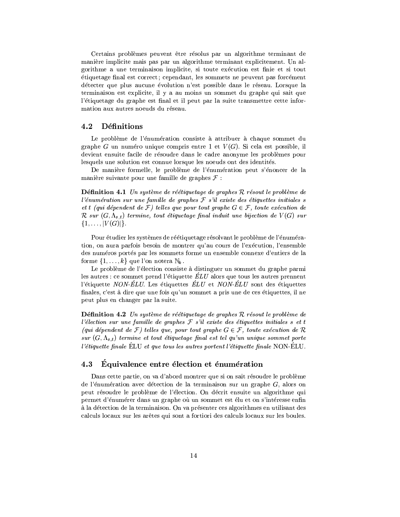Certains problèmes peuvent être résolus par un algorithme terminant de manière implicite mais pas par un algorithme terminant explicitement. Un algorithme a une terminaison implicite, si toute exécution est finie et si tout étiquetage final est correct; cependant, les sommets ne peuvent pas forcément détecter que plus aucune évolution n'est possible dans le réseau. Lorsque la terminaison est explicite, il y a au moins un sommet du graphe qui sait que l'étiquetage du graphe est final et il peut par la suite transmettre cette information aux autres noeuds du réseau.

### $4.2$ Définitions

Le problème de l'énumération consiste à attribuer à chaque sommet du graphe G un numéro unique compris entre 1 et  $V(G)$ . Si cela est possible, il devient ensuite facile de résoudre dans le cadre anonyme les problèmes pour lesquels une solution est connue lorsque les noeuds ont des identités.

De manière formelle, le problème de l'énumération peut s'énoncer de la manière suivante pour une famille de graphes  $\mathcal F$ :

**Définition 4.1** Un système de réétiquetage de graphes  $\mathcal R$  résout le problème de l'énumération sur une famille de graphes  $\mathcal F$  s'il existe des étiquettes initiales s et t (qui dépendent de  $\mathcal{F}$ ) telles que pour tout graphe  $G \in \mathcal{F}$ , toute exécution de  $\mathcal{R}$  sur  $(G, \Lambda_{s,t})$  termine, tout étiquetage final induit une bijection de  $V(G)$  sur  $\{1,\ldots,|V(G)|\}.$ 

Pour étudier les systèmes de réétiquetage résolvant le problème de l'énumération, on aura parfois besoin de montrer qu'au cours de l'exécution, l'ensemble des numéros portés par les sommets forme un ensemble connexe d'entiers de la forme  $\{1,\ldots,k\}$  que l'on notera  $\mathbb{N}_k$ .

Le problème de l'élection consiste à distinguer un sommet du graphe parmi les autres : ce sommet prend l'étiquette  $\dot{E}LU$  alors que tous les autres prennent l'étiquette *NON-ÉLU*. Les étiquettes *ÉLU* et *NON-ÉLU* sont des étiquettes finales, c'est à dire que une fois qu'un sommet a pris une de ces étiquettes, il ne peut plus en changer par la suite.

**Définition 4.2** Un système de réétiquetage de graphes  $R$  résout le problème de l'élection sur une famille de graphes  $\mathcal F$  s'il existe des étiquettes initiales s et t (qui dépendent de  $\mathcal{F}$ ) telles que, pour tout graphe  $G \in \mathcal{F}$ , toute exécution de  $\mathcal{R}$ sur  $(G, \Lambda_{s,t})$  termine et tout étiquetage final est tel qu'un unique sommet porte *l'étiquette finale* ÉLU et que tous les autres portent l'étiquette finale NON-ÉLU.

### Équivalence entre élection et énumération 4.3

Dans cette partie, on va d'abord montrer que si on sait résoudre le problème de l'énumération avec détection de la terminaison sur un graphe  $G$ , alors on peut résoudre le problème de l'élection. On décrit ensuite un algorithme qui permet d'énumérer dans un graphe où un sommet est élu et on s'intéresse enfine à la détection de la terminaison. On va présenter ces algorithmes en utilisant des calculs locaux sur les arêtes qui sont a fortiori des calculs locaux sur les boules.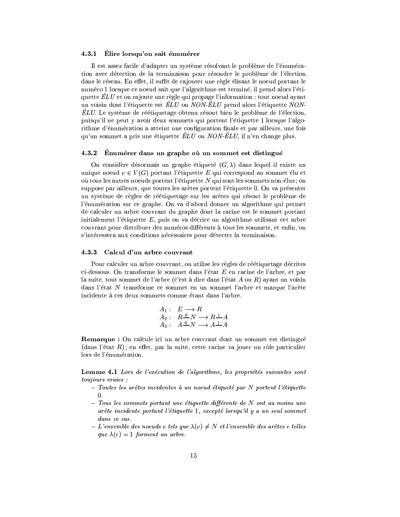# 4.3.1 Elire lorsqu'on sait énumérer

Il est assez facile d'adapter un système résolvant le problème de l'énumération avec détection de la terminaison pour résoudre le problème de l'élection dans le réseau. En effet, il suffit de rajouter une règle élisant le noeud portant le numéro 1 lorsque ce noeud sait que l'algorithme est terminé, il prend alors l'étiquette  $\dot{E}LU$  et on rajoute une règle qui propage l'information : tout noeud ayant un voisin dont l'étiquette est  $\dot{E}LU$  ou  $NON-\dot{E}LU$  prend alors l'étiquette NON- $\dot{E}L U$ . Le système de réétiquetage obtenu résout bien le problème de l'élection, puisqu'il ne peut y avoir deux sommets qui portent l'étiquette 1 lorsque l'algorithme d'énumération a atteint une configuration finale et par ailleurs, une fois qu'un sommet a pris une étiquette  $\hat{E}LU$  ou  $NON\hat{E}LU$ , il n'en change plus.

### $4.3.2$ Enumérer dans un graphe où un sommet est distingué

On considère désormais un graphe étiqueté  $(G, \lambda)$  dans lequel il existe un unique noeud  $v \in V(G)$  portant l'étiquette E qui correspond au sommet élu et où tous les autres noeuds portent l'étiquette N qui sont les sommets non-élus : on suppose par ailleurs, que toutes les arêtes portent l'étiquette 0. On va présenter un système de règles de réétiquetage sur les arêtes qui résout le problème de l'énumération sur ce graphe. On va d'abord donner un algorithme qui permet de calculer un arbre couvrant du graphe dont la racine est le sommet portant initialement l'étiquette  $E$ , puis on va décrire un algorithme utilisant cet arbre couvrant pour distribuer des numéros différents à tous les sommets, et enfin, on s'intéressera aux conditions nécessaires pour détecter la terminaison.

### $4.3.3$ Calcul d'un arbre couvrant

Pour calculer un arbre couvrant, on utilise les règles de réétiquetage décrites ci-dessous. On transforme le sommet dans l'état E en racine de l'arbre, et par la suite, tout sommet de l'arbre (c'est à dire dans l'état  $A$  ou  $R$ ) ayant un voisin dans l'état N transforme ce sommet en un sommet l'arbre et marque l'arête incidente à ces deux sommets comme étant dans l'arbre.

$$
A_1: E \longrightarrow R
$$
  
\n
$$
A_2: R \xrightarrow{0} N \longrightarrow R \xrightarrow{1} A
$$
  
\n
$$
A_3: A \xrightarrow{0} N \longrightarrow A \xrightarrow{1} A
$$

**Remarque**: On calcule ici un arbre couvrant dont un sommet est distingué  $(dans l'état R)$ ; en effet, par la suite, cette racine va jouer un rôle particulier lors de l'énumération.

**Lemme 4.1** Lors de l'exécution de l'algorithme, les propriétés suivantes sont toujours vraies :

- Toutes les arêtes incidentes à un noeud étiqueté par N portent l'étiquette  $0.$
- $-$  Tous les sommets portant une étiquette différente de N ont au moins une arête incidente portant l'étiquette 1, excepté lorsqu'il y a un seul sommet dans ce cas.
- L'ensemble des noeuds v tels que  $\lambda(v) \neq N$  et l'ensemble des arêtes e telles que  $\lambda(e) = 1$  forment un arbre.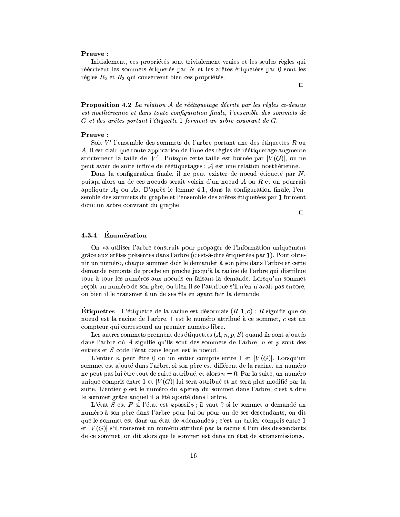# Preuve:

Initialement, ces propriétés sont trivialement vraies et les seules règles qui réécrivent les sommets étiquetés par  $N$  et les arêtes étiquetées par  $0$  sont les règles  $R_2$  et  $R_3$  qui conservent bien ces propriétés.

 $\Box$ 

**Proposition 4.2** La relation  $A$  de réétiquetage décrite par les règles ci-dessus est noethérienne et dans toute configuration finale, l'ensemble des sommets de G et des arêtes portant l'étiquette 1 forment un arbre couvrant de G.

# Preuve:

Soit  $V'$  l'ensemble des sommets de l'arbre portant une des étiquettes R ou A, il est clair que toute application de l'une des règles de réétiquetage augmente strictement la taille de |V'|. Puisque cette taille est bornée par  $|V(G)|$ , on ne peut avoir de suite infinie de réétiquetages :  $A$  est une relation noethérienne.

Dans la configuration finale, il ne peut exister de noeud étiqueté par  $N$ , puisqu'alors un de ces noeuds serait voisin d'un noeud  $A$  ou  $R$  et on pourrait appliquer  $A_2$  ou  $A_3$ . D'après le lemme 4.1, dans la configuration finale, l'ensemble des sommets du graphe et l'ensemble des arêtes étiquetées par 1 forment donc un arbre couvrant du graphe.

 $\Box$ 

### Énumération 4.3.4

On va utiliser l'arbre construit pour propager de l'information uniquement grâce aux arêtes présentes dans l'arbre (c'est-à-dire étiquetées par 1). Pour obtenir un numéro, chaque sommet doit le demander à son père dans l'arbre et cette demande remonte de proche en proche jusqu'à la racine de l'arbre qui distribue tour à tour les numéros aux noeuds en faisant la demande. Lorsqu'un sommet reçoit un numéro de son père, ou bien il se l'attribue s'il n'en n'avait pas encore, ou bien il le transmet à un de ses fils en ayant fait la demande.

**Étiquettes** L'étiquette de la racine est désormais  $(R, 1, c)$ : R signifie que ce noeud est la racine de l'arbre, 1 est le numéro attribué à ce sommet, c est un compteur qui correspond au premier numéro libre.

Les autres sommets prennent des étiquettes  $(A, n, p, S)$  quand ils sont ajoutés dans l'arbre où A signifie qu'ils sont des sommets de l'arbre,  $n$  et  $p$  sont des entiers et S code l'état dans lequel est le noeud.

L'entier n peut être 0 ou un entier compris entre 1 et  $|V(G)|$ . Lorsqu'un sommet est ajouté dans l'arbre, si son père est différent de la racine, un numéro ne peut pas lui être tout de suite attribué, et alors  $n = 0$ . Par la suite, un numéro unique compris entre 1 et  $|V(G)|$  lui sera attribué et ne sera plus modifié par la suite. L'entier p est le numéro du «père» du sommet dans l'arbre, c'est à dire le sommet grâce auquel il a été ajouté dans l'arbre.

L'état $S$  est  $P$  si l'état est «passif»; il vaut ? si le sommet a demandé un numéro à son père dans l'arbre pour lui ou pour un de ses descendants, on dit que le sommet est dans un état de «demande»; c'est un entier compris entre 1 et  $|V(G)|$  s'il transmet un numéro attribué par la racine à l'un des descendants de ce sommet, on dit alors que le sommet est dans un état de «transmission».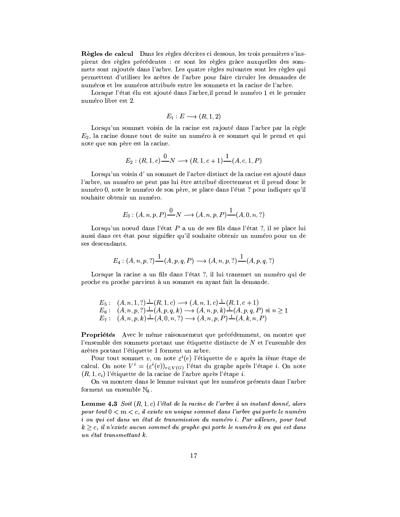Règles de calcul Dans les règles décrites ci dessous, les trois premières s'inspirent des règles précédentes : ce sont les règles grâce auxquelles des sommets sont rajoutés dans l'arbre. Les quatre règles suivantes sont les règles qui permettent d'utiliser les arêtes de l'arbre pour faire circuler les demandes de numéros et les numéros attribués entre les sommets et la racine de l'arbre.

Lorsque l'état élu est ajouté dans l'arbre, il prend le numéro 1 et le premier numéro libre est 2.

$$
E_1: E \longrightarrow (R, 1, 2)
$$

Lorsqu'un sommet voisin de la racine est rajouté dans l'arbre par la règle  $E_2$ , la racine donne tout de suite un numéro à ce sommet qui le prend et qui note que son père est la racine.

$$
E_2: (R, 1, c) \xrightarrow{0} N \longrightarrow (R, 1, c+1) \xrightarrow{1} (A, c, 1, P)
$$

Lorsqu'un voisin d'un sommet de l'arbre distinct de la racine est ajouté dans l'arbre, un numéro ne peut pas lui être attribué directement et il prend donc le numéro 0, note le numéro de son père, se place dans l'état ? pour indiquer qu'il souhaite obtenir un numéro.

$$
E_3: (A, n, p, P) \xrightarrow{0} N \longrightarrow (A, n, p, P) \xrightarrow{1} (A, 0, n, ?)
$$

Lorsqu'un noeud dans l'état P a un de ses fils dans l'état ?, il se place lui aussi dans cet état pour signifier qu'il souhaite obtenir un numéro pour un de ses descendants.

$$
E_4: (A, n, p, ?) \xrightarrow{1} (A, p, q, P) \longrightarrow (A, n, p, ?) \xrightarrow{1} (A, p, q, ?)
$$

Lorsque la racine a un fils dans l'état ?, il lui transmet un numéro qui de proche en proche parvient à un sommet en ayant fait la demande.

$$
E_5: (A, n, 1, ?) \stackrel{1}{\rightarrow} (R, 1, c) \rightarrow (A, n, 1, c) \stackrel{1}{\rightarrow} (R, 1, c + 1)
$$
  
\n
$$
E_6: (A, n, p, ?) \stackrel{1}{\rightarrow} (A, p, q, k) \rightarrow (A, n, p, k) \stackrel{1}{\rightarrow} (A, p, q, P) \text{ si } n \ge 1
$$
  
\n
$$
E_7: (A, n, p, k) \stackrel{1}{\rightarrow} (A, 0, n, ?) \rightarrow (A, n, p, P) \stackrel{1}{\rightarrow} (A, k, n, P)
$$

Propriétés Avec le même raisonnement que précédemment, on montre que l'ensemble des sommets portant une étiquette distincte de N et l'ensemble des arêtes portant l'étiquette 1 forment un arbre.

Pour tout sommet v, on note  $\varepsilon^{i}(e)$  l'étiquette de v après la *i*ème étape de calcul. On note  $V^i = (\varepsilon^i(v))_{v \in V(G)}$  l'état du graphe après l'étape *i*. On note  $(R, 1, c_i)$  l'étiquette de la racine de l'arbre après l'étape i.

On va montrer dans le lemme suivant que les numéros présents dans l'arbre forment un ensemble  $\mathbb{N}_k$ .

**Lemme 4.3** Soit  $(R, 1, c)$  l'état de la racine de l'arbre à un instant donné, alors pour tout  $0 < m < c$ , il existe un unique sommet dans l'arbre qui porte le numéro i ou qui est dans un état de transmission du numéro i. Par ailleurs, pour tout  $k \geq c$ , il n'existe aucun sommet du graphe qui porte le numéro k ou qui est dans un état transmettant k.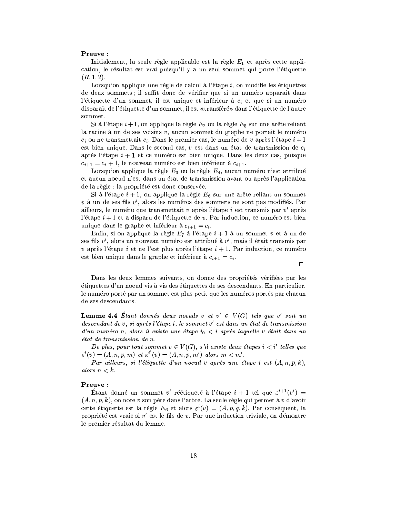# Preuve:

Initialement, la seule règle applicable est la règle  $E_1$  et après cette application, le résultat est vrai puisqu'il y a un seul sommet qui porte l'étiquette  $(R, 1, 2).$ 

Lorsqu'on applique une règle de calcul à l'étape  $i$ , on modifie les étiquettes de deux sommets; il suffit donc de vérifier que si un numéro apparaît dans l'étiquette d'un sommet, il est unique et inférieur à  $c_i$  et que si un numéro disparaît de l'étiquette d'un sommet, il est «transféré» dans l'étiquette de l'autre sommet.

Si à l'étape  $i + 1$ , on applique la règle  $E_2$  ou la règle  $E_5$  sur une arête reliant la racine à un de ses voisins  $v$ , aucun sommet du graphe ne portait le numéro  $c_i$  ou ne transmettait  $c_i$ . Dans le premier cas, le numéro de v après l'étape  $i+1$ est bien unique. Dans le second cas,  $v$  est dans un état de transmission de  $c_i$ après l'étape  $i + 1$  et ce numéro est bien unique. Dans les deux cas, puisque  $c_{i+1} = c_i + 1$ , le nouveau numéro est bien inférieur à  $c_{i+1}$ .

Lorsqu'on applique la règle  $E_3$  ou la règle  $E_4$ , aucun numéro n'est attribué et aucun noeud n'est dans un état de transmission avant ou après l'application de la règle : la propriété est donc conservée.

Si à l'étape  $i + 1$ , on applique la règle  $E_6$  sur une arête reliant un sommet  $v$  à un de ses fils  $v'$ , alors les numéros des sommets ne sont pas modifiés. Par ailleurs, le numéro que transmettait v après l'étape i est transmis par  $v'$  après l'étape  $i + 1$  et a disparu de l'étiquette de v. Par induction, ce numéro est bien unique dans le graphe et inférieur à  $c_{i+1} = c_i$ .

Enfin, si on applique la règle  $E_7$  à l'étape  $i + 1$  à un sommet v et à un de ses fils  $v'$ , alors un nouveau numéro est attribué à  $v'$ , mais il était transmis par v après l'étape i et ne l'est plus après l'étape  $i + 1$ . Par induction, ce numéro est bien unique dans le graphe et inférieur à  $c_{i+1} = c_i$ .

 $\Box$ 

Dans les deux lemmes suivants, on donne des propriétés vérifiées par les étiquettes d'un noeud vis à vis des étiquettes de ses descendants. En particulier, le numéro porté par un sommet est plus petit que les numéros portés par chacun de ses descendants.

**Lemme 4.4** Étant donnés deux noeuds v et  $v' \in V(G)$  tels que v' soit un descendant de v, si après l'étape i, le sommet v' est dans un état de transmission d'un numéro n, alors il existe une étape  $i_0 < i$  après laquelle v était dans un état de transmission de n.

De plus, pour tout sommet  $v \in V(G)$ , s'il existe deux étapes  $i < i'$  telles que  $\varepsilon^{i}(v) = (A, n, p, m)$  et  $\varepsilon^{i'}(v) = (A, n, p, m')$  alors  $m < m'$ .

Par ailleurs, si l'étiquette d'un noeud v après une étape i est  $(A, n, p, k)$ , alors  $n < k$ .

# Preuve:

Étant donné un sommet v' réétiqueté à l'étape  $i + 1$  tel que  $\varepsilon^{i+1}(v') =$  $(A, n, p, k)$ , on note v son père dans l'arbre. La seule règle qui permet à v d'avoir cette étiquette est la règle  $E_6$  et alors  $\varepsilon^i(v) = (A, p, q, k)$ . Par conséquent, la propriété est vraie si  $v'$  est le fils de  $v$ . Par une induction triviale, on démontre le premier résultat du lemme.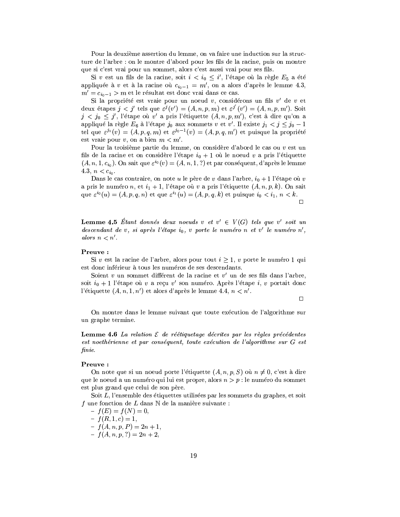Pour la deuxième assertion du lemme, on va faire une induction sur la structure de l'arbre : on le montre d'abord pour les fils de la racine, puis on montre que si c'est vrai pour un sommet, alors c'est aussi vrai pour ses fils.

Si v est un fils de la racine, soit  $i < i_0 \leq i'$ , l'étape où la règle  $E_5$  a été appliquée à v et à la racine où  $c_{i_0-1} = m'$ , on a alors d'après le lemme 4.3,  $m' = c_{i_0-1} > m$  et le résultat est donc vrai dans ce cas.

Si la propriété est vraie pour un noeud  $v$ , considérons un fils  $v'$  de  $v$  et deux étapes  $j < j'$  tels que  $\varepsilon^{j}(v') = (A, n, p, m)$  et  $\varepsilon^{j'}(v') = (A, n, p, m')$ . Soit  $j < j_0 \leq j'$ , l'étape où v' a pris l'étiquette  $(A, n, p, m')$ , c'est à dire qu'on a appliqué la règle  $E_6$  à l'étape  $j_0$  aux sommets v et v'. Il existe  $j_1 < j \leq j_0 - 1$ tel que  $\varepsilon^{j_1}(v) = (A, p, q, m)$  et  $\varepsilon^{j_0-1}(v) = (A, p, q, m')$  et puisque la propriété est vraie pour  $v$ , on a bien  $m < m'$ .

Pour la troisième partie du lemme, on considère d'abord le cas ou  $v$  est un fils de la racine et on considère l'étape  $i_0 + 1$  où le noeud v a pris l'étiquette  $(A, n, 1, c_{i_0})$ . On sait que  $\varepsilon^{i_0}(v) = (A, n, 1, ?)$  et par conséquent, d'après le lemme 4.3,  $n < c_{i_0}$ .

Dans le cas contraire, on note u le père de v dans l'arbre,  $i_0 + 1$  l'étape où v a pris le numéro n, et  $i_1 + 1$ , l'étape où v a pris l'étiquette  $(A, n, p, k)$ . On sait que  $\varepsilon^{i_0}(u) = (A, p, q, n)$  et que  $\varepsilon^{i_1}(u) = (A, p, q, k)$  et puisque  $i_0 < i_1, n < k$ .  $\Box$ 

**Lemme 4.5** Étant donnés deux noeuds v et  $v' \in V(G)$  tels que v' soit un descendant de v, si après l'étape  $i_0$ , v porte le numéro n et v' le numéro n', alors  $n < n'$ .

# Preuve:

Si v est la racine de l'arbre, alors pour tout  $i \geq 1$ , v porte le numéro 1 qui est donc inférieur à tous les numéros de ses descendants.

Soient v un sommet différent de la racine et v' un de ses fils dans l'arbre, soit  $i_0 + 1$  l'étape où v a reçu v' son numéro. Après l'étape  $i, v$  portait donc l'étiquette  $(A, n, 1, n')$  et alors d'après le lemme 4.4,  $n < n'$ .

 $\Box$ 

On montre dans le lemme suivant que toute exécution de l'algorithme sur un graphe termine.

**Lemme 4.6** La relation  $\mathcal E$  de réétiquetage décrites par les règles précédentes est noethérienne et par conséquent, toute exécution de l'algorithme sur G est finie.

# Preuve:

On note que si un noeud porte l'étiquette  $(A, n, p, S)$  où  $n \neq 0$ , c'est à dire que le noeud a un numéro qui lui est propre, alors  $n > p :$  le numéro du sommet est plus grand que celui de son père.

Soit L, l'ensemble des étiquettes utilisées par les sommets du graphes, et soit f une fonction de L dans  $\mathbb N$  de la manière suivante :

 $- f(E) = f(N) = 0,$  $-f(R,1,c) = 1,$ 

 $- f(A, n, p, P) = 2n + 1,$ 

 $-f(A, n, p, ?) = 2n + 2,$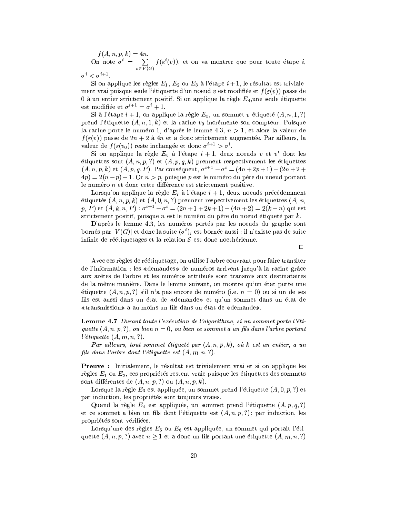-  $f(A, n, p, k) = 4n$ .<br>On note  $\sigma^i = \sum_{v \in V(G)} f(\varepsilon^i(v))$ , et on va montrer que pour toute étape *i*,

$$
\sigma^i < \sigma^{i+1}
$$

Si on applique les règles  $E_1, E_2$  ou  $E_3$  à l'étape  $i+1$ , le résultat est trivialement vrai puisque seule l'étiquette d'un noeud v est modifiée et  $f(\varepsilon(v))$  passe de 0 à un entier strictement positif. Si on applique la règle  $E_4$ , une seule étiquette est modifiée et  $\sigma^{i+1} = \sigma^i + 1$ .

Si à l'étape  $i + 1$ , on applique la règle  $E_5$ , un sommet v étiqueté  $(A, n, 1, ?)$ prend l'étiquette  $(A, n, 1, k)$  et la racine  $v_0$  incrémente son compteur. Puisque la racine porte le numéro 1, d'après le lemme 4.3,  $n > 1$ , et alors la valeur de  $f(\varepsilon(v))$  passe de  $2n+2$  à 4n et a donc strictement augmentée. Par ailleurs, la valeur de  $f(\varepsilon(v_0))$  reste inchangée et donc  $\sigma^{i+1} > \sigma^i$ .

Si on applique la règle  $E_6$  à l'étape  $i + 1$ , deux noeuds v et v' dont les étiquettes sont  $(A, n, p, ?)$  et  $(A, p, q, k)$  prennent respectivement les étiquettes  $(A, n, p, k)$  et  $(A, p, q, P)$ . Par conséquent,  $\sigma^{i+1} - \sigma^i = (4n + 2p + 1) - (2n + 2 + 1)$  $4p = 2(n-p) - 1$ . Or  $n > p$ , puisque p est le numéro du père du noeud portant le numéro  $n$  et donc cette différence est strictement positive.

Lorsqu'on applique la règle  $E_7$  à l'étape  $i + 1$ , deux noeuds précédemment étiquetés  $(A, n, p, k)$  et  $(A, 0, n, ?)$  prennent respectivement les étiquettes  $(A, n, n, k)$  $p, P)$  et  $(A, k, n, P)$  :  $\sigma^{i+1} - \sigma^i = (2n + 1 + 2k + 1) - (4n + 2) = 2(k - n)$  qui est strictement positif, puisque  $n$  est le numéro du père du noeud étiqueté par  $k$ .

D'après le lemme 4.3, les numéros portés par les noeuds du graphe sont bornés par  $|V(G)|$  et donc la suite  $(\sigma^i)_i$  est bornée aussi : il n'existe pas de suite infinie de réétiquetages et la relation  $\mathcal E$  est donc noethérienne.

 $\Box$ 

Avec ces règles de réétiquetage, on utilise l'arbre couvrant pour faire transiter de l'information : les «demandes» de numéros arrivent jusqu'à la racine grâce aux arêtes de l'arbre et les numéros attribués sont transmis aux destinataires de la même manière. Dans le lemme suivant, on montre qu'un état porte une étiquette  $(A, n, p, ?)$  s'il n'a pas encore de numéro (i.e.  $n = 0$ ) ou si un de ses fils est aussi dans un état de «demande» et qu'un sommet dans un état de «transmission» a au moins un fils dans un état de «demande».

Lemme 4.7 Durant toute l'exécution de l'algorithme, si un sommet porte l'étiquette  $(A, n, p, ?)$ , ou bien  $n = 0$ , ou bien ce sommet a un fils dans l'arbre portant *l'étiquette*  $(A, m, n, ?)$ .

Par ailleurs, tout sommet étiqueté par  $(A, n, p, k)$ , où k est un entier, a un fils dans l'arbre dont l'étiquette est  $(A, m, n, ?)$ .

**Preuve :** Initialement, le résultat est trivialement vrai et si on applique les règles  $E_1$  ou  $E_2$ , ces propriétés restent vraie puisque les étiquettes des sommets sont différentes de  $(A, n, p, ?)$  ou  $(A, n, p, k)$ .

Lorsque la règle  $E_3$  est appliquée, un sommet prend l'étiquette  $(A, 0, p, ?)$  et par induction, les propriétés sont toujours vraies.

Quand la règle  $E_4$  est appliquée, un sommet prend l'étiquette  $(A, p, q, ?)$ et ce sommet a bien un fils dont l'étiquette est  $(A, n, p, ?)$ ; par induction, les propriétés sont vérifiées.

Lorsqu'une des règles  $E_5$  ou  $E_6$  est appliquée, un sommet qui portait l'étiquette  $(A, n, p, ?)$  avec  $n \ge 1$  et a donc un fils portant une étiquette  $(A, m, n, ?)$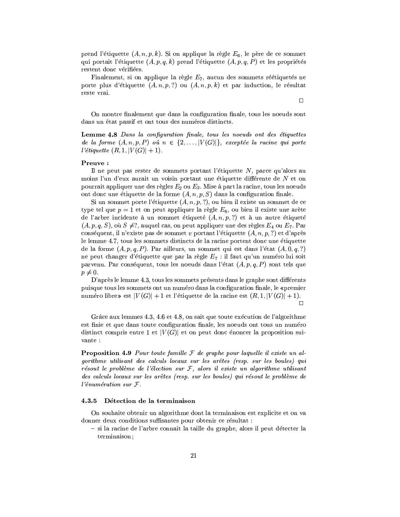prend l'étiquette  $(A, n, p, k)$ . Si on applique la règle  $E_6$ , le père de ce sommet qui portait l'étiquette  $(A, p, q, k)$  prend l'étiquette  $(A, p, q, P)$  et les propriétés restent donc vérifiées.

Finalement, si on applique la règle  $E_7$ , aucun des sommets réétiquetés ne porte plus d'étiquette  $(A, n, p, ?)$  ou  $(A, n, p, k)$  et par induction, le résultat reste vrai.

On montre finalement que dans la configuration finale, tous les noeuds sont dans un état passif et ont tous des numéros distincts.

**Lemme 4.8** Dans la configuration finale, tous les noeuds ont des étiquettes de la forme  $(A, n, p, P)$  où  $n \in \{2, ..., |V(G)|\}$ , exceptée la racine qui porte l'étiquette  $(R, 1, |V(G)| + 1)$ .

## Preuve:

Il ne peut pas rester de sommets portant l'étiquette  $N$ , parce qu'alors au moins l'un d'eux aurait un voisin portant une étiquette différente de N et on pourrait appliquer une des règles  $E_2$  ou  $E_3$ . Mise à part la racine, tous les noeuds ont donc une étiquette de la forme  $(A, n, p, S)$  dans la configuration finale.

Si un sommet porte l'étiquette  $(A, n, p, ?)$ , ou bien il existe un sommet de ce type tel que  $p = 1$  et on peut appliquer la règle  $E_6$ , ou bien il existe une arête de l'arbre incidente à un sommet étiqueté  $(A, n, p, ?)$  et à un autre étiqueté  $(A, p, q, S)$ , où  $S \neq ?$ , auquel cas, on peut appliquer une des règles  $E_4$  ou  $E_7$ . Par conséquent, il n'existe pas de sommet v portant l'étiquette  $(A, n, p, ?)$  et d'après le lemme 4.7, tous les sommets distincts de la racine portent donc une étiquette de la forme  $(A, p, q, P)$ . Par ailleurs, un sommet qui est dans l'état  $(A, 0, q, ?)$ ne peut changer d'étiquette que par la règle  $E_7$ : il faut qu'un numéro lui soit parvenu. Par conséquent, tous les noeuds dans l'état  $(A, p, q, P)$  sont tels que  $p\neq 0.$ 

D'après le lemme 4.3, tous les sommets présents dans le graphe sont différents puisque tous les sommets ont un numéro dans la configuration finale, le «premier numéro libre» est  $|V(G)| + 1$  et l'étiquette de la racine est  $(R, 1, |V(G)| + 1)$ .

 $\Box$ 

Grâce aux lemmes 4.3, 4.6 et 4.8, on sait que toute exécution de l'algorithme est finie et que dans toute configuration finale, les noeuds ont tous un numéro distinct compris entre 1 et  $|V(G)|$  et on peut donc énoncer la proposition suivante :

**Proposition 4.9** Pour toute famille  $\mathcal F$  de graphe pour laquelle il existe un algorithme utilisant des calculs locaux sur les arêtes (resp. sur les boules) qui résout le problème de l'élection sur  $F$ , alors il existe un algorithme utilisant des calculs locaux sur les arêtes (resp. sur les boules) qui résout le problème de  $l'$ énumération sur  $\mathcal{F}.$ 

#### $4.3.5$ Détection de la terminaison

On souhaite obtenir un algorithme dont la terminaison est explicite et on va donner deux conditions suffisantes pour obtenir ce résultat :

- si la racine de l'arbre connaît la taille du graphe, alors il peut détecter la terminaison:

 $\Box$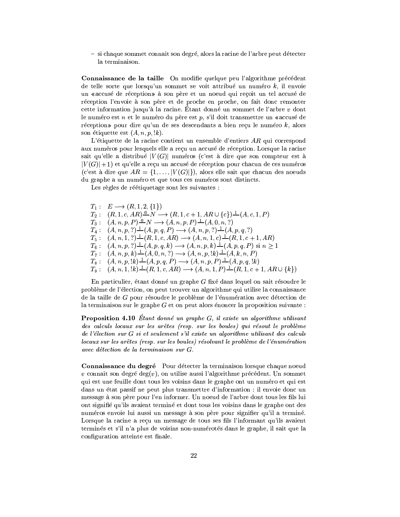- si chaque sommet connaît son degré, alors la racine de l'arbre peut détecter la terminaison.

Connaissance de la taille On modifie quelque peu l'algorithme précédent de telle sorte que lorsqu'un sommet se voit attribué un numéro  $k$ , il envoie un «accusé de réception» à son père et un noeud qui reçoit un tel accusé de réception l'envoie à son père et de proche en proche, on fait donc remonter cette information jusqu'à la racine. Étant donné un sommet de l'arbre v dont le numéro est  $n$  et le numéro du père est  $p$ , s'il doit transmettre un «accusé de réception» pour dire qu'un de ses descendants a bien reçu le numéro  $k$ , alors son étiquette est  $(A, n, p, \mathord{!} k)$ .

L'étiquette de la racine contient un ensemble d'entiers  $AR$  qui correspond aux numéros pour lesquels elle a reçu un accusé de réception. Lorsque la racine sait qu'elle a distribué  $|V(G)|$  numéros (c'est à dire que son compteur est à  $|V(G)|+1$  et qu'elle a reçu un accusé de réception pour chacun de ces numéros (c'est à dire que  $AR = \{1, ..., |V(G)|\}$ ), alors elle sait que chacun des noeuds du graphe a un numéro et que tous ces numéros sont distincts.

Les règles de réétiquetage sont les suivantes :

 $T_1: E \longrightarrow (R, 1, 2, \{1\})$  $T_2: (R,1,c,AR) \xrightarrow{0} N \longrightarrow (R,1,c+1,AR \cup \{c\}) \xrightarrow{1} (A,c,1,P)$  $T_3: (A, n, p, P) \xrightarrow{0} N \longrightarrow (A, n, p, P) \xrightarrow{1} (A, 0, n, ?)$  $T_4: (A, n, p, ?) \stackrel{1}{\longrightarrow} (A, p, q, P) \longrightarrow (A, n, p, ?) \stackrel{1}{\longrightarrow} (A, p, q, ?)$  $T_5: (A, n, 1, ?) \stackrel{1}{\longrightarrow} (R, 1, c, AR) \longrightarrow (A, n, 1, c) \stackrel{1}{\longrightarrow} (R, 1, c+1, AR)$  $T_6: (A, n, p, ?) \stackrel{1}{\longrightarrow} (A, p, q, k) \longrightarrow (A, n, p, k) \stackrel{1}{\longrightarrow} (A, p, q, P)$  si  $n \ge 1$  $T_7: (A, n, p, k) \perp (A, 0, n, ?) \longrightarrow (A, n, p, !k) \perp (A, k, n, P)$  $T_8: (A, n, p, !k) \xrightarrow{1} (A, p, q, P) \longrightarrow (A, n, p, P) \xrightarrow{1} (A, p, q, !k)$  $T_9: (A, n, 1, !k) \stackrel{1}{-}(R, 1, c, AR) \longrightarrow (A, n, 1, P) \stackrel{1}{-}(R, 1, c+1, AR \cup \{k\})$ 

En particulier, étant donné un graphe G fixé dans lequel on sait résoudre le problème de l'élection, on peut trouver un algorithme qui utilise la connaissance de la taille de G pour résoudre le problème de l'énumération avec détection de la terminaison sur le graphe  $G$  et on peut alors énoncer la proposition suivante :

**Proposition 4.10** Etant donné un graphe  $G$ , il existe un algorithme utilisant des calculs locaux sur les arêtes (resp. sur les boules) qui résout le problème de l'élection sur G si et seulement s'il existe un algorithme utilisant des calculs locaux sur les arêtes (resp. sur les boules) résolvant le problème de l'énumération avec détection de la terminaison sur G.

Connaissance du degré Pour détecter la terminaison lorsque chaque noeud v connaît son degré deg $(v)$ , on utilise aussi l'algorithme précédent. Un sommet qui est une feuille dont tous les voisins dans le graphe ont un numéro et qui est dans un état passif ne peut plus transmettre d'information : il envoie donc un message à son père pour l'en informer. Un noeud de l'arbre dont tous les fils lui ont signifié qu'ils avaient terminé et dont tous les voisins dans le graphe ont des numéros envoie lui aussi un message à son père pour signifier qu'il a terminé. Lorsque la racine a reçu un message de tous ses fils l'informant qu'ils avaient terminés et s'il n'a plus de voisins non-numérotés dans le graphe, il sait que la configuration atteinte est finale.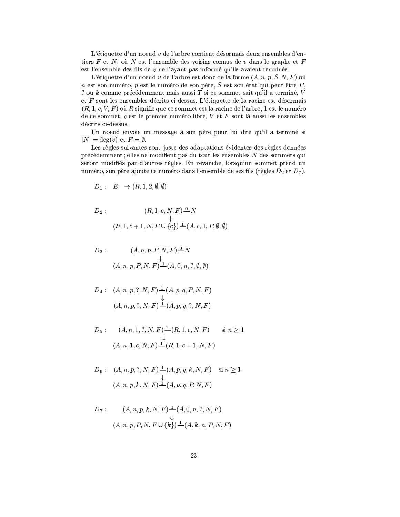L'étiquette d'un noeud  $v$  de l'arbre contient désormais deux ensembles d'entiers  $F$  et  $N$ , où  $N$  est l'ensemble des voisins connus de  $v$  dans le graphe et  $F$ est l'ensemble des fils de  $v$  ne l'ayant pas informé qu'ils avaient terminés.

L'étiquette d'un noeud v de l'arbre est donc de la forme  $(A, n, p, S, N, F)$  où n est son numéro, p est le numéro de son père,  $S$  est son état qui peut être  $P$ , ? ou  $k$  comme précédemment mais aussi  $T$  si ce sommet sait qu'il a terminé,  $V$ et  $F$  sont les ensembles décrits ci dessus. L'étiquette de la racine est désormais  $(R, 1, c, V, F)$  où R signifie que ce sommet est la racine de l'arbre, 1 est le numéro de ce sommet,  $c$  est le premier numéro libre,  $V$  et  $F$  sont là aussi les ensembles décrits ci-dessus.

Un noeud envoie un message à son père pour lui dire qu'il a terminé si  $|N| = \deg(v)$  et  $F = \emptyset$ .

Les règles suivantes sont juste des adaptations évidentes des règles données précédemment : elles ne modifient pas du tout les ensembles N des sommets qui seront modifiés par d'autres règles. En revanche, lorsqu'un sommet prend un numéro, son père ajoute ce numéro dans l'ensemble de ses fils (règles  $D_2$  et  $D_7$ ).

$$
D_1: E \longrightarrow (R, 1, 2, \emptyset, \emptyset)
$$

$$
D_2: (R, 1, c, N, F) \xrightarrow{0} N
$$
  
\n
$$
(R, 1, c+1, N, F \cup \{c\}) \xrightarrow{1} (A, c, 1, P, \emptyset, \emptyset)
$$

$$
D_3: \qquad (A, n, p, P, N, F) \xrightarrow{\mathbb{Q}} N
$$
  

$$
\downarrow
$$
  

$$
(A, n, p, P, N, F) \xrightarrow{\mathbb{1}} (A, 0, n, ?, \emptyset, \emptyset)
$$

$$
D_4: (A, n, p, ?, N, F) \xrightarrow{\downarrow} (A, p, q, P, N, F)
$$
  

$$
(A, n, p, ?, N, F) \xrightarrow{\downarrow} (A, p, q, ?, N, F)
$$

$$
D_5: \qquad (A, n, 1, ?, N, F) \xrightarrow{\downarrow} (R, 1, c, N, F) \qquad \text{si } n \ge 1
$$

$$
(A, n, 1, c, N, F) \xrightarrow{\downarrow} (R, 1, c+1, N, F)
$$

 $\begin{array}{rl} D_6:& (A,n,p,?,N,F) \,\, {\buildrel\perp\over\longrightarrow}\, (A,p,q,k,N,F) & \mbox{ si } n \ge 1 \\ & \downarrow & \\ & (A,n,p,k,N,F) \, {\buildrel\perp\over\longrightarrow}\, (A,p,q,P,N,F) \end{array}$ 

$$
D_7: \qquad (A, n, p, k, N, F) \xrightarrow{\downarrow} (A, 0, n, ?, N, F)
$$
  

$$
(A, n, p, P, N, F \cup \{k\}) \xrightarrow{\downarrow} (A, k, n, P, N, F)
$$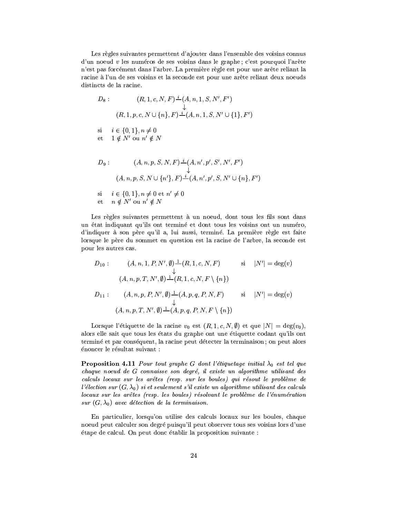Les règles suivantes permettent d'ajouter dans l'ensemble des voisins connus d'un noeud  $v$  les numéros de ses voisins dans le graphe; c'est pourquoi l'arête n'est pas forcément dans l'arbre. La première règle est pour une arête reliant la racine à l'un de ses voisins et la seconde est pour une arête reliant deux noeuds distincts de la racine.

$$
D_8: \qquad (R, 1, c, N, F) \stackrel{i}{\underset{\longleftarrow}{\downarrow}} (A, n, 1, S, N', F')
$$
  

$$
(R, 1, p, c, N \cup \{n\}, F) \stackrel{i}{\underset{\longleftarrow}{\downarrow}} (A, n, 1, S, N' \cup \{1\}, F')
$$

$$
\begin{array}{ll}\n\text{si} & i \in \{0, 1\}, n \neq 0 \\
\text{et} & 1 \notin N' \text{ ou } n' \notin N\n\end{array}
$$

$$
D_9: \t(A, n, p, S, N, F) \stackrel{i}{=} (A, n', p', S', N', F')
$$
  
\n
$$
\downarrow
$$
  
\n
$$
(A, n, p, S, N \cup \{n'\}, F) \stackrel{i}{=} (A, n', p', S, N' \cup \{n\}, F')
$$
  
\nsi  $i \in \{0, 1\}, n \neq 0 \text{ et } n' \neq 0$   
\net  $n \notin N'$  ou  $n' \notin N$ 

Les règles suivantes permettent à un noeud, dont tous les fils sont dans un état indiquant qu'ils ont terminé et dont tous les voisins ont un numéro, d'indiquer à son père qu'il a, lui aussi, terminé. La première règle est faite lorsque le père du sommet en question est la racine de l'arbre, la seconde est pour les autres cas.

$$
D_{10}: \qquad (A, n, 1, P, N', \emptyset) \stackrel{1}{\rightharpoonup} (R, 1, c, N, F) \qquad \text{si} \qquad |N'| = \deg(v)
$$
  

$$
\downarrow
$$
  

$$
(A, n, p, T, N', \emptyset) \stackrel{1}{\rightharpoonup} (R, 1, c, N, F \setminus \{n\})
$$
  

$$
D_{11}: \qquad (A, n, p, P, N', \emptyset) \stackrel{1}{\rightharpoonup} (A, p, q, P, N, F) \qquad \text{si} \qquad |N'| = \deg(v)
$$
  

$$
(A, n, p, T, N', \emptyset) \stackrel{1}{\rightharpoonup} (A, p, q, P, N, F \setminus \{n\})
$$

Lorsque l'étiquette de la racine  $v_0$  est  $(R, 1, c, N, \emptyset)$  et que  $|N| = \deg(v_0)$ , alors elle sait que tous les états du graphe ont une étiquette codant qu'ils ont terminé et par conséquent, la racine peut détecter la terminaison; on peut alors énoncer le résultat suivant :

**Proposition 4.11** Pour tout graphe G dont l'étiquetage initial  $\lambda_0$  est tel que chaque noeud de G connaisse son degré, il existe un algorithme utilisant des calculs locaux sur les arêtes (resp. sur les boules) qui résout le problème de l'élection sur  $(G, \lambda_0)$  si et seulement s'il existe un algorithme utilisant des calculs locaux sur les arêtes (resp. les boules) résolvant le problème de l'énumération sur  $(G, \lambda_0)$  avec détection de la terminaison.

En particulier, lorsqu'on utilise des calculs locaux sur les boules, chaque noeud peut calculer son degré puisqu'il peut observer tous ses voisins lors d'une étape de calcul. On peut donc établir la proposition suivante :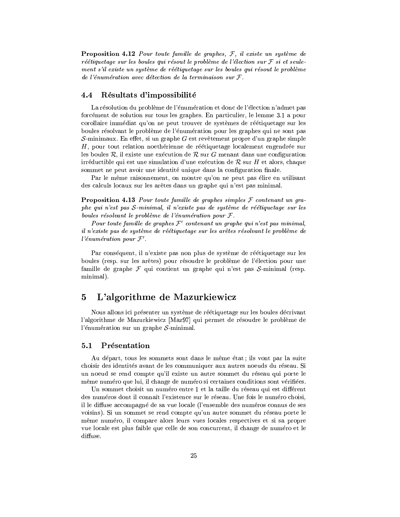**Proposition 4.12** Pour toute famille de graphes,  $F$ , il existe un système de réétiquetage sur les boules qui résout le problème de l'élection sur  $\mathcal F$  si et seulement s'il existe un système de réétiquetage sur les boules qui résout le problème de l'énumération avec détection de la terminaison sur  $\mathcal{F}$ .

### 4.4 Résultats d'impossibilité

La résolution du problème de l'énumération et donc de l'élection n'admet pas forcément de solution sur tous les graphes. En particulier, le lemme 3.1 a pour corollaire immédiat qu'on ne peut trouver de systèmes de réétiquetage sur les boules résolvant le problème de l'énumération pour les graphes qui ne sont pas S-minimaux. En effet, si un graphe G est revêtement propre d'un graphe simple H, pour tout relation noethérienne de réétiquetage localement engendrée sur les boules  $\mathcal{R}$ , il existe une exécution de  $\mathcal{R}$  sur G menant dans une configuration irréductible qui est une simulation d'une exécution de R sur H et alors, chaque sommet ne peut avoir une identité unique dans la configuration finale.

Par le même raisonnement, on montre qu'on ne peut pas élire en utilisant des calculs locaux sur les arêtes dans un graphe qui n'est pas minimal.

**Proposition 4.13** Pour toute famille de graphes simples  $\mathcal F$  contenant un graphe qui n'est pas S-minimal, il n'existe pas de système de réétiquetage sur les boules résolvant le problème de l'énumération pour  $\mathcal{F}$ .

Pour toute famille de graphes  $\mathcal{F}'$  contenant un graphe qui n'est pas minimal, il n'existe pas de système de réétiquetage sur les arêtes résolvant le problème de l'énumération pour  $\mathcal{F}'$ .

Par conséquent, il n'existe pas non plus de système de réétiquetage sur les boules (resp. sur les arêtes) pour résoudre le problème de l'élection pour une famille de graphe  $\mathcal F$  qui contient un graphe qui n'est pas  $\mathcal S$ -minimal (resp. minimal).

### L'algorithme de Mazurkiewicz  $\overline{5}$

Nous allons ici présenter un système de réétiquetage sur les boules décrivant l'algorithme de Mazurkiewicz [Maz97] qui permet de résoudre le problème de l'énumération sur un graphe  $S$ -minimal.

### Présentation  $5.1$

Au départ, tous les sommets sont dans le même état; ils vont par la suite choisir des identités avant de les communiquer aux autres noeuds du réseau. Si un noeud se rend compte qu'il existe un autre sommet du réseau qui porte le même numéro que lui, il change de numéro si certaines conditions sont vérifiées.

Un sommet choisit un numéro entre 1 et la taille du réseau qui est différent des numéros dont il connaît l'existence sur le réseau. Une fois le numéro choisi, il le diffuse accompagné de sa vue locale (l'ensemble des numéros connus de ses voisins). Si un sommet se rend compte qu'un autre sommet du réseau porte le même numéro, il compare alors leurs vues locales respectives et si sa propre vue locale est plus faible que celle de son concurrent, il change de numéro et le diffuse.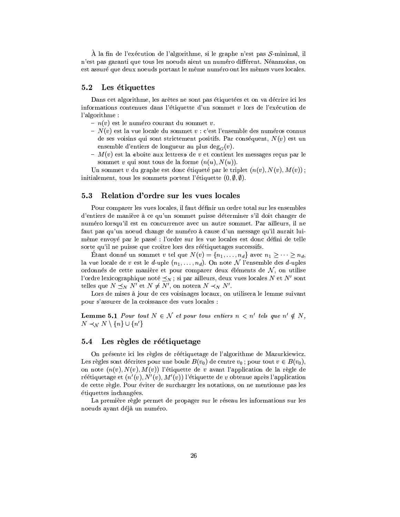À la fin de l'exécution de l'algorithme, si le graphe n'est pas  $S$ -minimal, il n'est pas garanti que tous les noeuds aient un numéro différent. Néanmoins, on est assuré que deux noeuds portant le même numéro ont les mêmes vues locales.

### 5.2 Les étiquettes

Dans cet algorithme, les arêtes ne sont pas étiquetées et on va décrire ici les informations contenues dans l'étiquette d'un sommet  $v$  lors de l'exécution de l'algorithme :

- $n(v)$  est le numéro courant du sommet v.
- $N(v)$  est la vue locale du sommet v : c'est l'ensemble des numéros connus de ses voisins qui sont strictement positifs. Par conséquent,  $N(v)$  est un ensemble d'entiers de longueur au plus deg<sub> $G(v)$ </sub>.
- $M(v)$  est la «boîte aux lettres» de v et contient les messages reçus par le sommet v qui sont tous de la forme  $(n(u), N(u))$ .

Un sommet v du graphe est donc étiqueté par le triplet  $(n(v), N(v), M(v))$ ; initialement, tous les sommets portent l'étiquette  $(0, \emptyset, \emptyset)$ .

### 5.3 Relation d'ordre sur les vues locales

Pour comparer les vues locales, il faut définir un ordre total sur les ensembles d'entiers de manière à ce qu'un sommet puisse déterminer s'il doit changer de numéro lorsqu'il est en concurrence avec un autre sommet. Par ailleurs, il ne faut pas qu'un noeud change de numéro à cause d'un message qu'il aurait luimême envoyé par le passé : l'ordre sur les vue locales est donc défini de telle sorte qu'il ne puisse que croître lors des réétiquetages successifs.

Etant donné un sommet v tel que  $N(v) = \{n_1, \ldots, n_d\}$  avec  $n_1 \geq \cdots \geq n_d$ la vue locale de v est le d-uple  $(n_1, \ldots, n_d)$ . On note N l'ensemble des d-uples ordonnés de cette manière et pour comparer deux éléments de  $\mathcal{N}$ , on utilise l'ordre lexicographique noté  $\preceq_N$ ; si par ailleurs, deux vues locales N et N' sont telles que  $N \preceq_N N'$  et  $N \neq N'$ , on notera  $N \prec_N N'$ .

Lors de mises à jour de ces voisinages locaux, on utilisera le lemme suivant pour s'assurer de la croissance des vues locales :

**Lemme 5.1** Pour tout  $N \in \mathcal{N}$  et pour tous entiers  $n < n'$  tels que  $n' \notin N$ ,  $N \prec_N N \setminus \{n\} \cup \{n'\}$ 

# 5.4 Les règles de réétiquetage

On présente ici les règles de réétiquetage de l'algorithme de Mazurkiewicz. Les règles sont décrites pour une boule  $B(v_0)$  de centre  $v_0$ ; pour tout  $v \in B(v_0)$ , on note  $(n(v), N(v), M(v))$  l'étiquette de v avant l'application de la règle de réétiquetage et  $(n'(v), N'(v), M'(v))$  l'étiquette de v obtenue après l'application de cette règle. Pour éviter de surcharger les notations, on ne mentionne pas les étiquettes inchangées.

La première règle permet de propager sur le réseau les informations sur les noeuds ayant déjà un numéro.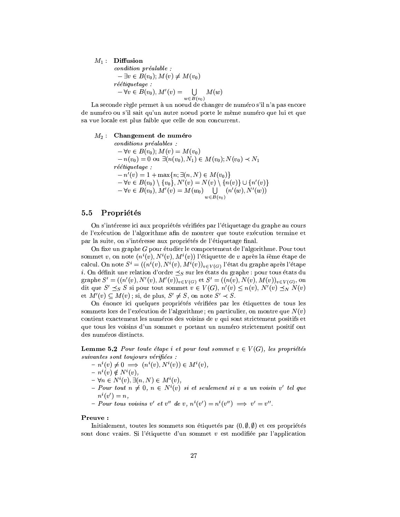# $M_1:$  Diffusion

$$
condition\ pr\acute{e}alable :
$$
  
\n
$$
-\exists v \in B(v_0); M(v) \neq M(v_0)
$$
  
\n
$$
r\acute{e}tiquetage :
$$
  
\n
$$
-\forall v \in B(v_0), M'(v) = \bigcup_{w \in B(v_0)} M(w)
$$

La seconde règle permet à un noeud de changer de numéro s'il n'a pas encore de numéro ou s'il sait qu'un autre noeud porte le même numéro que lui et que sa vue locale est plus faible que celle de son concurrent.

# $M_2$ : Changement de numéro

 $conditions\,\,pr\acute{e}alables\,$ :  $-\forall v \in B(v_0); M(v) = M(v_0)$  $-n(v_0) = 0$  ou  $\exists (n(v_0), N_1) \in M(v_0); N(v_0) \prec N_1$ réétiquetage :  $-n'(v) = 1 + \max\{n; \exists (n, N) \in M(v_0)\}\$  $-\forall v \in B(v_0) \setminus \{v_0\}, N'(v) = N(v) \setminus \{n(v)\} \cup \{n'(v)\}$  $-\forall v \in B(v_0), M'(v) = M(w_0) \bigcup_{w \in B(v_0)} (n'(w), N'(w))$ 

### Propriétés  $5.5$

On s'intéresse ici aux propriétés vérifiées par l'étiquetage du graphe au cours de l'exécution de l'algorithme afin de montrer que toute exécution termine et par la suite, on s'intéresse aux propriétés de l'étiquetage final.

On fixe un graphe G pour étudier le comportement de l'algorithme. Pour tout sommet v, on note  $(n^i(v), N^i(v), M^i(v))$  l'étiquette de v après la *i*ème étape de calcul. On note  $S^i = ((n^i(v), N^i(v), M^i(v))_{v \in V(G)})$  l'état du graphe après l'étape *i*. On définit une relation d'ordre  $\preceq_S$  sur les états du graphe : pour tous états du graphe  $S' = ((n'(v), N'(v), M'(v))_{v \in V(G)}$  et  $S' = ((n(v), N(v), M(v))_{v \in V(G)},$  on dit que  $S' \preceq_S S$  si pour tout sommet  $v \in V(G)$ ,  $n'(v) \leq n(v)$ ,  $N'(v) \preceq_N N(v)$ et  $M'(v) \subset M(v)$ ; si, de plus,  $S' \neq S$ , on note  $S' \prec S$ .

On énonce ici quelques propriétés vérifiées par les étiquettes de tous les sommets lors de l'exécution de l'algorithme; en particulier, on montre que  $N(v)$ contient exactement les numéros des voisins de  $v$  qui sont strictement positifs et que tous les voisins d'un sommet v portant un numéro strictement positif ont des numéros distincts.

**Lemme 5.2** Pour toute étape i et pour tout sommet  $v \in V(G)$ , les propriétés suivantes sont toujours vérifiées :

- $-n^i(v) \neq 0 \implies (n^i(v), N^i(v)) \in M^i(v),$
- $n^i(v) \notin N^i(v),$
- $-\forall n \in N^{i}(v), \exists (n, N) \in M^{i}(v),$
- Pour tout  $n \neq 0$ ,  $n \in N^{i}(v)$  si et seulement si v a un voisin v' tel que  $n^i(v')=n,$
- Pour tous voisins v' et v'' de v,  $n^{i}(v') = n^{i}(v'') \implies v' = v''$ .

### Preuve:

Initialement, toutes les sommets son étiquetés par  $(0, \emptyset, \emptyset)$  et ces propriétés sont donc vraies. Si l'étiquette d'un sommet  $v$  est modifiée par l'application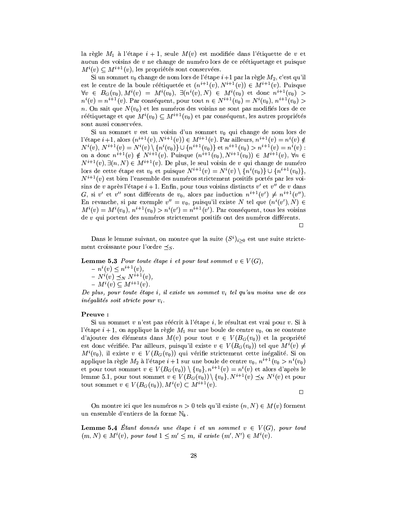la règle  $M_1$  à l'étape  $i + 1$ , seule  $M(v)$  est modifiée dans l'étiquette de v et aucun des voisins de v ne change de numéro lors de ce réétiquetage et puisque  $M^{i}(v) \subset M^{i+1}(v)$ , les propriétés sont conservées.

Si un sommet  $v_0$  change de nom lors de l'étape  $i+1$  par la règle  $M_2$ , c'est qu'il est le centre de la boule réétiquetée et  $(n^{i+1}(v), N^{i+1}(v)) \in M^{i+1}(v)$ . Puisque  $\forall v \in B_G(v_0), M^i(v) = M^i(v_0), \ \exists (n^i(v), N) \in M^i(v_0) \ \text{et donc} \ n^{i+1}(v_0) >$  $n^{i}(v) = n^{i+1}(v)$ . Par conséquent, pour tout  $n \in N^{i+1}(v_0) = N^{i}(v_0)$ ,  $n^{i+1}(v_0) >$ n. On sait que  $N(v_0)$  et les numéros des voisins ne sont pas modifiés lors de ce réétiquetage et que  $M^{i}(v_0) \subset M^{i+1}(v_0)$  et par conséquent, les autres propriétés sont aussi conservées.

Si un sommet v est un voisin d'un sommet  $v_0$  qui change de nom lors de l'étape  $i+1$ , alors  $(n^{i+1}(v), N^{i+1}(v)) \in M^{i+1}(v)$ . Par ailleurs,  $n^{i+1}(v) = n^{i}(v) \notin$  $N^{i}(v)$ ,  $N^{i+1}(v) = N^{i}(v) \setminus \{n^{i}(v_0)\} \cup \{n^{i+1}(v_0)\}$  et  $n^{i+1}(v_0) > n^{i+1}(v) = n^{i}(v)$ :<br>on a donc  $n^{i+1}(v) \notin N^{i+1}(v)$ . Puisque  $(n^{i+1}(v_0), N^{i+1}(v_0)) \in M^{i+1}(v)$ ,  $\forall n \in$  $N^{i+1}(v), \exists (n, N) \in M^{i+1}(v)$ . De plus, le seul voisin de v qui change de numéro lors de cette étape est  $v_0$  et puisque  $N^{i+1}(v) = N^i(v) \setminus \{n^i(v_0)\} \cup \{n^{i+1}(v_0)\},\$  $N^{i+1}(v)$  est bien l'ensemble des numéros strictement positifs portés par les voisins de v après l'étape  $i + 1$ . Enfin, pour tous voisins distincts  $v'$  et  $v''$  de v dans G, si v' et v'' sont différents de  $v_0$ , alors par induction  $n^{i+1}(v') \neq n^{i+1}(v'')$ . En revanche, si par exemple  $v'' = v_0$ , puisqu'il existe N tel que  $(n^i(v'), N) \in$  $M^{i}(v) = M^{i}(v_0), n^{i+1}(v_0) > n^{i}(v') = n^{i+1}(v')$ . Par conséquent, tous les voisins de  $v$  qui portent des numéros strictement positifs ont des numéros différents.

 $\Box$ 

Dans le lemme suivant, on montre que la suite  $(S<sup>i</sup>)<sub>i>0</sub>$  est une suite strictement croissante pour l'ordre  $\preceq_S$ .

**Lemme 5.3** Pour toute étape i et pour tout sommet  $v \in V(G)$ ,

 $- n^{i}(v) \leq n^{i+1}(v),$  $- N^{i}(v) \preceq_{N} N^{i+1}(v),$  $- M^{i}(v) \subseteq M^{i+1}(v)$ .

De plus, pour toute étape i, il existe un sommet  $v_i$  tel qu'au moins une de ces  $inégalités soit stricte pour v<sub>i</sub>.$ 

# Preuve:

Si un sommet  $v$  n'est pas réécrit à l'étape  $i$ , le résultat est vrai pour  $v$ . Si à l'étape  $i + 1$ , on applique la règle  $M_1$  sur une boule de centre  $v_0$ , on se contente d'ajouter des éléments dans  $M(v)$  pour tout  $v \in V(B_G(v_0))$  et la propriété est donc vérifiée. Par ailleurs, puisqu'il existe  $v \in V(B_G(v_0))$  tel que  $M^i(v) \neq$  $M^{i}(v_0)$ , il existe  $v \in V(B_G(v_0))$  qui vérifie strictement cette inégalité. Si on applique la règle  $M_2$  à l'étape  $i+1$  sur une boule de centre  $v_0, n^{i+1}(v_0 > n^i(v_0))$ et pour tout sommet  $v \in V(B_G(v_0)) \setminus \{v_0\}, n^{i+1}(v) = n^i(v)$  et alors d'après le lemme 5.1, pour tout sommet  $v \in V(B_G(v_0)) \setminus \{v_0\}, N^{i+1}(v) \preceq_N N^i(v)$  et pour tout sommet  $v \in V(B_G(v_0)), M^i(v) \subset M^{i+1}(v)$ .

 $\Box$ 

On montre ici que les numéros  $n > 0$  tels qu'il existe  $(n, N) \in M(v)$  forment un ensemble d'entiers de la forme  $\mathbb{N}_k$ .

**Lemme 5.4** Etant donnés une étape i et un sommet  $v \in V(G)$ , pour tout  $(m, N) \in M^{i}(v)$ , pour tout  $1 \leq m' \leq m$ , il existe  $(m', N') \in M^{i}(v)$ .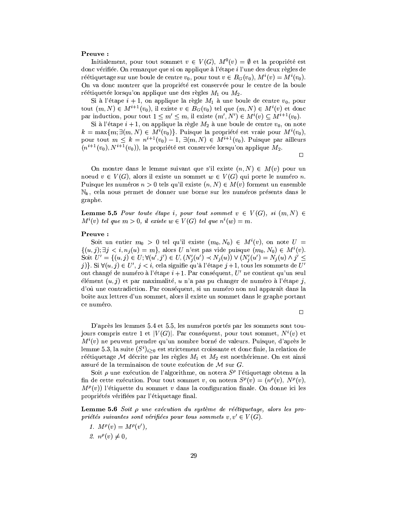# Preuve:

Initialement, pour tout sommet  $v \in V(G)$ ,  $M^0(v) = \emptyset$  et la propriété est donc vérifiée. On remarque que si on applique à l'étape i l'une des deux règles de réétiquetage sur une boule de centre  $v_0$ , pour tout  $v \in B_G(v_0)$ ,  $M^i(v) = M^i(v_0)$ . On va donc montrer que la propriété est conservée pour le centre de la boule réétiquetée lorsqu'on applique une des règles  $M_1$  ou  $M_2$ .

Si à l'étape  $i + 1$ , on applique la règle  $M_1$  à une boule de centre  $v_0$ , pour tout  $(m, N) \in M^{i+1}(v_0)$ , il existe  $v \in B_G(v_0)$  tel que  $(m, N) \in M^i(v)$  et donc par induction, pour tout  $1 \leq m' \leq m$ , il existe  $(m', N') \in M^{i}(v) \subseteq M^{i+1}(v_0)$ .

Si à l'étape  $i + 1$ , on applique la règle  $M_2$  à une boule de centre  $v_0$ , on note  $k = \max\{m; \exists (m, N) \in M^{i}(v_0)\}.$  Puisque la propriété est vraie pour  $M^{i}(v_0)$ , pour tout  $m \leq k = n^{i+1}(v_0) - 1$ ,  $\exists (m, N) \in M^{i+1}(v_0)$ . Puisque par ailleurs  $(n^{i+1}(v_0), N^{i+1}(v_0))$ , la propriété est conservée lorsqu'on applique  $M_2$ .

 $\Box$ 

On montre dans le lemme suivant que s'il existe  $(n, N) \in M(v)$  pour un noeud  $v \in V(G)$ , alors il existe un sommet  $w \in V(G)$  qui porte le numéro n. Puisque les numéros  $n > 0$  tels qu'il existe  $(n, N) \in M(v)$  forment un ensemble  $\mathbb{N}_k$ , cela nous permet de donner une borne sur les numéros présents dans le graphe.

**Lemme 5.5** Pour toute étape i, pour tout sommet  $v \in V(G)$ , si  $(m, N) \in$  $M^{i}(v)$  tel que  $m > 0$ , il existe  $w \in V(G)$  tel que  $n^{i}(w) = m$ .

## Preuve:

Soit un entier  $m_0 > 0$  tel qu'il existe  $(m_0, N_0) \in M^{i}(v)$ , on note  $U =$  $\{(u,j);\exists j < i, n_j(u) = m\}$ , alors U n'est pas vide puisque  $(m_0, N_0) \in M^{i}(v)$ . Soit  $U' = \{(u, j) \in U; \forall (u', j') \in U, (N'_i(u') \prec N_i(u)) \vee (N'_i(u') = N_i(u) \wedge j' \leq$ j)}. Si  $\forall (u, j) \in U', j < i$ , cela signifie qu'à l'étape j + 1, tous les sommets de U' ont changé de numéro à l'étape  $i+1$ . Par conséquent,  $U'$  ne contient qu'un seul élément  $(u, j)$  et par maximalité, un'a pas pu changer de numéro à l'étape j, d'où une contradiction. Par conséquent, si un numéro non nul apparaît dans la boîte aux lettres d'un sommet, alors il existe un sommet dans le graphe portant ce numéro.

 $\Box$ 

D'après les lemmes 5.4 et 5.5, les numéros portés par les sommets sont toujours compris entre 1 et  $|V(G)|$ . Par conséquent, pour tout sommet,  $N^{i}(v)$  et  $M^{i}(v)$  ne peuvent prendre qu'un nombre borné de valeurs. Puisque, d'après le lemme 5.3, la suite  $(S<sup>i</sup>)<sub>i>0</sub>$  est strictement croissante et donc finie, la relation de réétiquetage M décrite par les règles  $M_1$  et  $M_2$  est noethérienne. On est ainsi assuré de la terminaison de toute exécution de  $M$  sur  $G$ .

Soit  $\rho$  une exécution de l'algorithme, on notera  $S^{\rho}$  l'étiquetage obtenu a la fin de cette exécution. Pour tout sommet v, on notera  $S^{\rho}(v) = (n^{\rho}(v), N^{\rho}(v))$ ,  $M^{\rho}(v)$ ) l'étiquette du sommet v dans la configuration finale. On donne ici les propriétés vérifiées par l'étiquetage final.

**Lemme 5.6** Soit  $\rho$  une exécution du système de réétiquetage, alors les propriétés suivantes sont vérifiées pour tous sommets  $v, v' \in V(G)$ .

- 1.  $M^{\rho}(v) = M^{\rho}(v'),$
- 2.  $n^{\rho}(v) \neq 0$ ,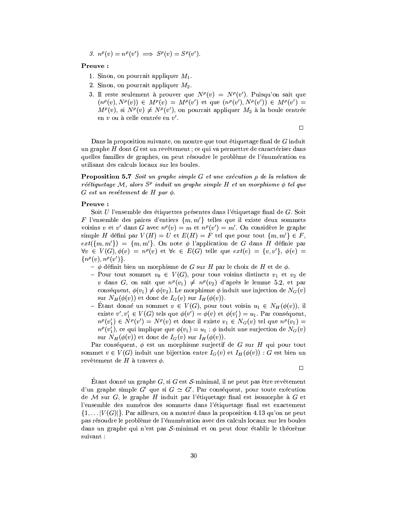3. 
$$
n^{\rho}(v) = n^{\rho}(v') \implies S^{\rho}(v) = S^{\rho}(v')
$$
.

# Preuve:

- 1. Sinon, on pourrait appliquer  $M_1$ .
- 2. Sinon, on pourrait appliquer  $M_2$ .
- 3. Il reste seulement à prouver que  $N^{\rho}(v) = N^{\rho}(v')$ . Puisqu'on sait que  $(n^{\rho}(v), N^{\rho}(v)) \in M^{\rho}(v) = M^{\rho}(v')$  et que  $(n^{\rho}(v'), N^{\rho}(v')) \in M^{\rho}(v') =$  $M^{\rho}(v)$ , si  $N^{\rho}(v) \neq N^{\rho}(v')$ , on pourrait appliquer  $M_2$  à la boule centrée en  $v$  ou à celle centrée en  $v'$ .

 $\Box$ 

Dans la proposition suivante, on montre que tout étiquetage final de  $G$  induit un graphe  $H$  dont  $G$  est un revêtement; ce qui va permettre de caractériser dans quelles familles de graphes, on peut résoudre le problème de l'énumération en utilisant des calculs locaux sur les boules.

**Proposition 5.7** Soit un graphe simple G et une exécution  $\rho$  de la relation de réétiquetage M, alors  $S^{\rho}$  induit un graphe simple H et un morphisme  $\phi$  tel que  $G$  est un revêtement de H par  $\phi$ .

# Preuve:

Soit U l'ensemble des étiquettes présentes dans l'étiquetage final de G. Soit F l'ensemble des paires d'entiers  $\{m,m'\}$  telles que il existe deux sommets voisins v et v' dans G avec  $n^{\rho}(v) = m$  et  $n^{\rho}(v') = m'$ . On considère le graphe simple H défini par  $V(H) = U$  et  $E(H) = F$  tel que pour tout  $\{m, m'\} \in F$ ,  $ext(\{m,m'\}) = \{m,m'\}.$  On note  $\phi$  l'application de G dans H définie par  $\forall v \in V(G), \phi(v) = n^{\rho}(v)$  et  $\forall e \in E(G)$  telle que  $ext(e) = \{v, v'\}, \phi(e) =$  ${n^{\rho}(v),n^{\rho}(v')}$ .

- $\phi$  définit bien un morphisme de G sur H par le choix de H et de  $\phi$ .
- Pour tout sommet  $v_0 \in V(G)$ , pour tous voisins distincts  $v_1$  et  $v_2$  de v dans G, on sait que  $n^{\rho}(v_1) \neq n^{\rho}(v_2)$  d'après le lemme 5.2, et par conséquent,  $\phi(v_1) \neq \phi(v_2)$ . Le morphisme  $\phi$  induit une injection de  $N_G(v)$ sur  $N_H(\phi(v))$  et donc de  $I_G(v)$  sur  $I_H(\phi(v))$ .
- Étant donné un sommet  $v \in V(G)$ , pour tout voisin  $u_1 \in N_H(\phi(v))$ , il existe  $v', v'_1 \in V(G)$  tels que  $\phi(v') = \phi(v)$  et  $\phi(v'_1) = u_1$ . Par conséquent,  $n^{\rho}(v'_1) \in N^{\rho}(v') = N^{\rho}(v)$  et donc il existe  $v_1 \in N_G(v)$  tel que  $n^{\rho}(v_1) =$  $n^{\rho}(v'_1)$ , ce qui implique que  $\phi(v_1) = u_1 : \phi$  induit une surjection de  $N_G(v)$ sur  $N_H(\phi(v))$  et donc de  $I_G(v)$  sur  $I_H(\phi(v))$ .

Par conséquent,  $\phi$  est un morphisme surjectif de G sur H qui pour tout sommet  $v \in V(G)$  induit une bijection entre  $I_G(v)$  et  $I_H(\phi(v))$ : G est bien un revêtement de  $H$  à travers  $\phi$ .

 $\Box$ 

Etant donné un graphe G, si G est S-minimal, il ne peut pas être revêtement d'un graphe simple G' que si  $G \simeq G'$ . Par conséquent, pour toute exécution de M sur  $G$ , le graphe H induit par l'étiquetage final est isomorphe à  $G$  et l'ensemble des numéros des sommets dans l'étiquetage final est exactement  $\{1,\ldots |V(G)|\}$ . Par ailleurs, on a montré dans la proposition 4.13 qu'on ne peut pas résoudre le problème de l'énumération avec des calculs locaux sur les boules dans un graphe qui n'est pas  $S$ -minimal et on peut donc établir le théorème suivant: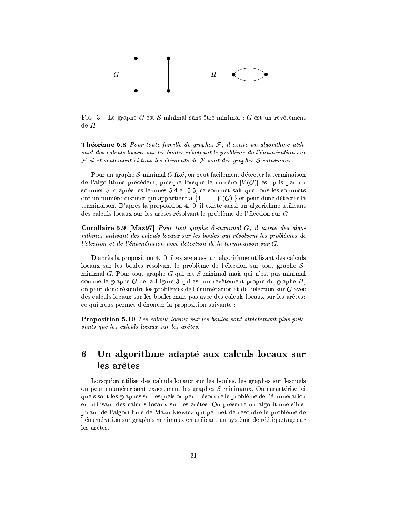

FIG. 3 – Le graphe G est S-minimal sans être minimal : G est un revêtement  $deH.$ 

**Théorème 5.8** Pour toute famille de graphes  $F$ , il existe un algorithme utilisant des calculs locaux sur les boules résolvant le problème de l'énumération sur  $\mathcal F$  si et seulement si tous les éléments de  $\mathcal F$  sont des graphes S-minimaux.

Pour un graphe  $S$ -minimal  $G$  fixé, on peut facilement détecter la terminaison de l'algorithme précédent, puisque lorsque le numéro  $|V(G)|$  est pris par un sommet  $v$ , d'après les lemmes 5.4 et 5.5, ce sommet sait que tous les sommets ont un numéro distinct qui appartient à  $\{1,\ldots,|V(G)|\}$  et peut donc détecter la terminaison. D'après la proposition 4.10, il existe aussi un algorithme utilisant des calculs locaux sur les arêtes résolvant le problème de l'élection sur G.

**Corollaire 5.9 [Maz97]** Pour tout graphe  $S$ -minimal  $G$ , il existe des algorithmes utilisant des calculs locaux sur les boules qui résolvent les problèmes de l'élection et de l'énumération avec détection de la terminaison sur G.

D'après la proposition 4.10, il existe aussi un algorithme utilisant des calculs locaux sur les boules résolvant le problème de l'élection sur tout graphe  $S$ minimal G. Pour tout graphe G qui est S-minimal mais qui n'est pas minimal comme le graphe  $G$  de la Figure 3 qui est un revêtement propre du graphe  $H$ , on peut donc résoudre les problèmes de l'énumération et de l'élection sur G avec des calculs locaux sur les boules mais pas avec des calculs locaux sur les arêtes; ce qui nous permet d'énoncer la proposition suivante :

**Proposition 5.10** Les calculs locaux sur les boules sont strictement plus puissants que les calculs locaux sur les arêtes.

# Un algorithme adapté aux calculs locaux sur 6 les arêtes

Lorsqu'on utilise des calculs locaux sur les boules, les graphes sur lesquels on peut énumérer sont exactement les graphes S-minimaux. On caractérise ici quels sont les graphes sur lesquels on peut résoudre le problème de l'énumération en utilisant des calculs locaux sur les arêtes. On présente un algorithme s'inspirant de l'algorithme de Mazurkiewicz qui permet de résoudre le problème de l'énumération sur graphes minimaux en utilisant un système de réétiquetage sur les arêtes.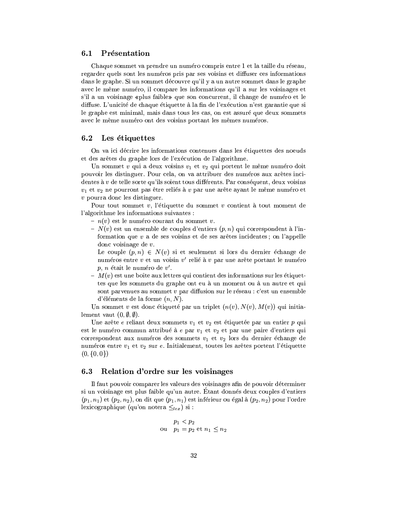### $6.1$ Présentation

Chaque sommet va prendre un numéro compris entre 1 et la taille du réseau, regarder quels sont les numéros pris par ses voisins et diffuser ces informations dans le graphe. Si un sommet découvre qu'il y a un autre sommet dans le graphe avec le même numéro, il compare les informations qu'il a sur les voisinages et s'il a un voisinage «plus faible» que son concurrent, il change de numéro et le diffuse. L'unicité de chaque étiquette à la fin de l'exécution n'est garantie que si le graphe est minimal, mais dans tous les cas, on est assuré que deux sommets avec le même numéro ont des voisins portant les mêmes numéros.

### Les étiquettes 6.2

On va ici décrire les informations contenues dans les étiquettes des noeuds et des arêtes du graphe lors de l'exécution de l'algorithme.

Un sommet v qui a deux voisins  $v_1$  et  $v_2$  qui portent le même numéro doit pouvoir les distinguer. Pour cela, on va attribuer des numéros aux arêtes incidentes à  $v$  de telle sorte qu'ils soient tous différents. Par conséquent, deux voisins  $v_1$  et  $v_2$  ne pourront pas être reliés à v par une arête ayant le même numéro et  $v$  pourra donc les distinguer.

Pour tout sommet  $v$ , l'étiquette du sommet  $v$  contient à tout moment de l'algorithme les informations suivantes :

- $n(v)$  est le numéro courant du sommet v.
- $N(v)$  est un ensemble de couples d'entiers  $(p, n)$  qui correspondent à l'information que  $v$  a de ses voisins et de ses arêtes incidentes; on l'appelle donc voisinage de  $v$ .

Le couple  $(p, n) \in N(v)$  si et seulement si lors du dernier échange de numéros entre v et un voisin v' relié à v par une arête portant le numéro  $p, n$  était le numéro de  $v'.$ 

 $- M(v)$  est une boîte aux lettres qui contient des informations sur les étiquettes que les sommets du graphe ont eu à un moment ou à un autre et qui sont parvenues au sommet v par diffusion sur le réseau : c'est un ensemble d'éléments de la forme  $(n, N)$ .

Un sommet v est donc étiqueté par un triplet  $(n(v), N(v), M(v))$  qui initialement vaut  $(0, \emptyset, \emptyset)$ .

Une arête e reliant deux sommets  $v_1$  et  $v_2$  est étiquetée par un entier  $p$  qui est le numéro commun attribué à  $e$  par  $v_1$  et  $v_2$  et par une paire d'entiers qui correspondent aux numéros des sommets  $v_1$  et  $v_2$  lors du dernier échange de numéros entre  $v_1$  et  $v_2$  sur e. Initialement, toutes les arêtes portent l'étiquette  $(0,\{0,0\})$ 

### Relation d'ordre sur les voisinages 6.3

Il faut pouvoir comparer les valeurs des voisinages afin de pouvoir déterminer si un voisinage est plus faible qu'un autre. Étant donnés deux couples d'entiers  $(p_1, n_1)$  et  $(p_2, n_2)$ , on dit que  $(p_1, n_1)$  est inférieur ou égal à  $(p_2, n_2)$  pour l'ordre lexicographique (qu'on notera  $\leq_{lex}$ ) si :

$$
p_1 < p_2
$$
\n
$$
p_1 = p_2 \text{ et } n_1 \le n_2
$$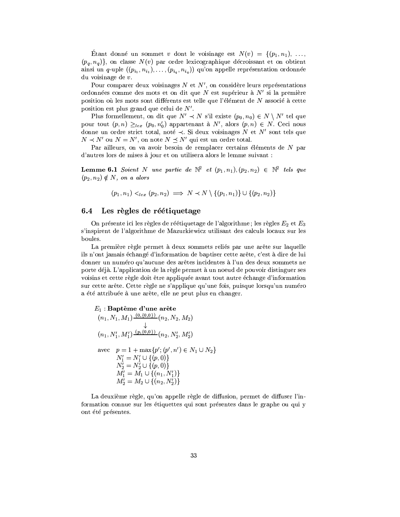Etant donné un sommet v dont le voisinage est  $N(v) = \{ (p_1, n_1), \ldots,$  $(p_a, n_a)$ , on classe  $N(v)$  par ordre lexicographique décroissant et on obtient ainsi un q-uple  $((p_{i_1}, n_{i_1}), \ldots, (p_{i_q}, n_{i_q}))$  qu'on appelle représentation ordonnée du voisinage de  $v$ .

Pour comparer deux voisinages  $N$  et  $N'$ , on considère leurs représentations ordonnées comme des mots et on dit que N est supérieur à  $N'$  si la première position où les mots sont différents est telle que l'élément de  $N$  associé à cette position est plus grand que celui de  $N'$ .

Plus formellement, on dit que  $N' \prec N$  s'il existe  $(p_0, n_0) \in N \setminus N'$  tel que pour tout  $(p, n) \geq_{lex} (p_0, n'_0)$  appartenant à  $N'$ , alors  $(p, n) \in N$ . Ceci nous donne un ordre strict total, noté  $\prec$ . Si deux voisinages N et N' sont tels que  $N \prec N'$  ou  $N = N'$ , on note  $N \preceq N'$  qui est un ordre total.

Par ailleurs, on va avoir besoin de remplacer certains éléments de  $N$  par d'autres lors de mises à jour et on utilisera alors le lemme suivant :

**Lemme 6.1** Soient N une partie de  $\mathbb{N}^2$  et  $(p_1, n_1), (p_2, n_2) \in \mathbb{N}^2$  tels que  $(p_2, n_2) \notin N$ , on a alors

$$
(p_1, n_1) <_{lex} (p_2, n_2) \implies N < N \setminus \{(p_1, n_1)\} \cup \{(p_2, n_2)\}
$$

### Les règles de réétiquetage  $6.4$

l,

On présente ici les règles de réétiquetage de l'algorithme; les règles  $E_2$  et  $E_3$ s'inspirent de l'algorithme de Mazurkiewicz utilisant des calculs locaux sur les boules.

La première règle permet à deux sommets reliés par une arête sur laquelle ils n'ont jamais échangé d'information de baptiser cette arête, c'est à dire de lui donner un numéro qu'aucune des arêtes incidentes à l'un des deux sommets ne porte déjà. L'application de la règle permet à un noeud de pouvoir distinguer ses voisins et cette règle doit être appliquée avant tout autre échange d'information sur cette arête. Cette règle ne s'applique qu'une fois, puisque lorsqu'un numéro a été attribuée à une arête, elle ne peut plus en changer.

$$
E_1: \textbf{Baptême d'une arête}
$$
\n
$$
(n_1, N_1, M_1) \xrightarrow{(0, \{0, 0\})} (n_2, N_2, M_2)
$$
\n
$$
\downarrow
$$
\n
$$
(n_1, N'_1, M'_1) \xrightarrow{(p, \{0, 0\})} (n_2, N'_2, M'_2)
$$
\n
$$
\text{avec } p = 1 + \max\{p'; (p', n') \in N_1 \cup N_2\}
$$
\n
$$
N'_1 = N'_1 \cup \{(p, 0)\}
$$
\n
$$
N'_2 = N'_2 \cup \{(p, 0)\}
$$
\n
$$
M'_1 = M_1 \cup \{(n_1, N'_1)\}
$$
\n
$$
M'_2 = M_2 \cup \{(n_2, N'_2)\}
$$

La deuxième règle, qu'on appelle règle de diffusion, permet de diffuser l'information connue sur les étiquettes qui sont présentes dans le graphe ou qui y ont été présentes.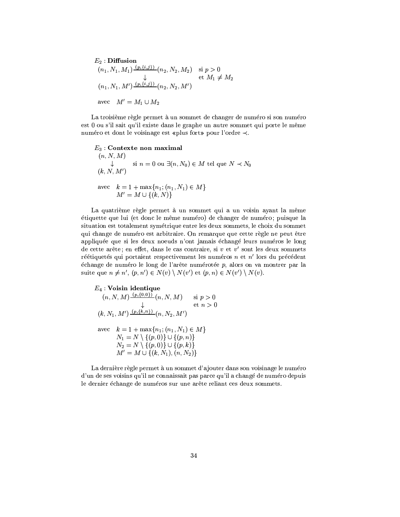$$
E_2: \text{Diffusion}
$$
  
\n
$$
(n_1, N_1, M_1) \xrightarrow{(p, \{i, j\})} (n_2, N_2, M_2) \text{ si } p > 0
$$
  
\n
$$
\downarrow \text{ et } M_1 \neq M_2
$$
  
\n
$$
(n_1, N_1, M') \xrightarrow{(p, \{i, j\})} (n_2, N_2, M')
$$
  
\navec 
$$
M' = M_1 \cup M_2
$$

La troisième règle permet à un sommet de changer de numéro si son numéro est 0 ou s'il sait qu'il existe dans le graphe un autre sommet qui porte le même numéro et dont le voisinage est «plus fort» pour l'ordre ≺.

 $E_3$ : Contexte non maximal  $(n, N, M)$  $\downarrow$ si  $n = 0$  ou  $\exists (n, N_0) \in M$  tel que  $N \prec N_0$  $(k, N, M')$ avec  $k = 1 + \max\{n_1; (n_1, N_1) \in M\}$ <br>  $M' = M \cup \{(k, N)\}$ 

La quatrième règle permet à un sommet qui a un voisin ayant la même étiquette que lui (et donc le même numéro) de changer de numéro; puisque la situation est totalement symétrique entre les deux sommets, le choix du sommet qui change de numéro est arbitraire. On remarque que cette règle ne peut être appliquée que si les deux noeuds n'ont jamais échangé leurs numéros le long de cette arête; en effet, dans le cas contraire, si  $v$  et  $v'$  sont les deux sommets réétiquetés qui portaient respectivement les numéros  $n$  et  $n'$  lors du précédent échange de numéro le long de l'arête numérotée  $p$ , alors on va montrer par la suite que  $n \neq n'$ ,  $(p, n') \in N(v) \setminus N(v')$  et  $(p, n) \in N(v') \setminus N(v)$ .

$$
E_4: \text{Voisin identity} \\
 (n, N, M) \xrightarrow{(p, \{0, 0\})} (n, N, M) \quad \text{si } p > 0 \\
 (k, N_1, M') \xrightarrow{(p, \{k, n\})} (n, N_2, M') \\
 \text{avec} \quad k = 1 + \max\{n_1; (n_1, N_1) \in M\} \\
 N_1 = N \setminus \{(p, 0)\} \cup \{(p, n)\} \\
 N_2 = N \setminus \{(p, 0)\} \cup \{(p, k)\} \\
 M' = M \cup \{(k, N_1), (n, N_2)\}
$$

La dernière règle permet à un sommet d'ajouter dans son voisinage le numéro d'un de ses voisins qu'il ne connaissait pas parce qu'il a changé de numéro depuis le dernier échange de numéros sur une arête reliant ces deux sommets.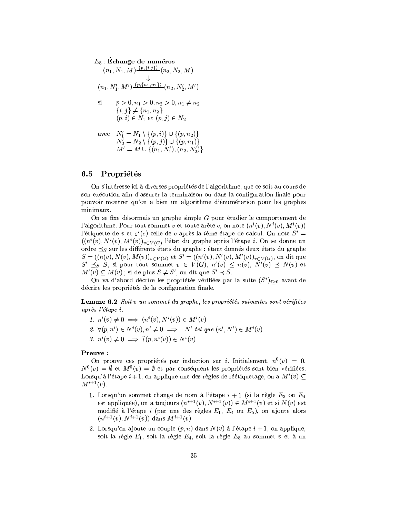### $E_5$ : Échange de numéros  $(4.123)$

$$
(n_1, N_1, M) \xrightarrow{\text{(p,1,1,1,1)}} (n_2, N_2, M)
$$
\n
$$
\downarrow
$$
\n
$$
(n_1, N'_1, M') \xrightarrow{\text{(p,1,1,1,2)}} (n_2, N'_2, M')
$$
\n
$$
\text{si} \qquad p > 0, n_1 > 0, n_2 > 0, n_1 \neq n_2
$$
\n
$$
\{i, j\} \neq \{n_1, n_2\}
$$
\n
$$
(p, i) \in N_1 \text{ et } (p, j) \in N_2
$$
\n
$$
\text{avec} \quad N'_1 = N_1 \setminus \{(p, i)\} \cup \{(p, n_2)\}
$$
\n
$$
N'_2 = N_2 \setminus \{(p, j)\} \cup \{(p, n_1)\}
$$
\n
$$
M' = M \cup \{(n_1, N'_1), (n_2, N'_2)\}
$$

### Propriétés  $6.5\,$

On s'intéresse ici à diverses propriétés de l'algorithme, que ce soit au cours de son exécution afin d'assurer la terminaison ou dans la configuration finale pour pouvoir montrer qu'on a bien un algorithme d'énumération pour les graphes minimaux.

On se fixe désormais un graphe simple  $G$  pour étudier le comportement de l'algorithme. Pour tout sommet v et toute arête e, on note  $(n^i(v), N^i(v), M^i(v))$ l'étiquette de v et  $\varepsilon^{i}(e)$  celle de e après la *i*ème étape de calcul. On note  $S^{i}$  =  $((n^i(v), N^i(v), M^i(v))_{v \in V(G)})$  l'état du graphe après l'étape *i*. On se donne un ordre  $\preceq_S$  sur les différents états du graphe : étant donnés deux états du graphe  $S = ((n(v), N(v), M(v))_{v \in V(G)}$  et  $S' = ((n'(v), N'(v), M'(v))_{v \in V(G)},$  on dit que  $S' \preceq_S S$ , si pour tout sommet  $v \in V(G)$ ,  $n'(v) \leq n(v)$ ,  $N'(v) \preceq N(v)$  et  $M'(v) \subseteq M(v)$ ; si de plus  $S \neq S'$ , on dit que  $S' \prec S$ .

On va d'abord décrire les propriétés vérifiées par la suite  $(S<sup>i</sup>)_{i>0}$  avant de décrire les propriétés de la configuration finale.

Lemme 6.2 Soit v un sommet du graphe, les propriétés suivantes sont vérifiées après l'étape i.

1.  $n^i(v) \neq 0 \implies (n^i(v), N^i(v)) \in M^i(v)$ 2.  $\forall (p, n') \in N^{i}(v), n' \neq 0 \implies \exists N' \text{ tel que } (n', N') \in M^{i}(v)$ 3.  $n^i(v) \neq 0 \implies \nexists (p, n^i(v)) \in N^i(v)$ 

# Preuve:

On prouve ces propriétés par induction sur *i*. Initialement,  $n^0(v) = 0$ ,  $N^0(v) = \emptyset$  et  $M^0(v) = \emptyset$  et par conséquent les propriétés sont bien vérifiées. Lorsqu'à l'étape  $i+1$ , on applique une des règles de réétiquetage, on a  $M^{i}(v)$  $M^{i+1}(v)$ .

- 1. Lorsqu'un sommet change de nom à l'étape  $i + 1$  (si la règle  $E_3$  ou  $E_4$ est appliquée), on a toujours  $(n^{i+1}(v), N^{i+1}(v)) \in M^{i+1}(v)$  et si  $N(v)$  est modifié à l'étape i (par une des règles  $E_1, E_4$  ou  $E_5$ ), on ajoute alors  $(n^{i+1}(v), N^{i+1}(v))$  dans  $M^{i+1}(v)$
- 2. Lorsqu'on ajoute un couple  $(p, n)$  dans  $N(v)$  à l'étape  $i + 1$ , on applique, soit la règle  $E_1$ , soit la règle  $E_4$ , soit la règle  $E_5$  au sommet v et à un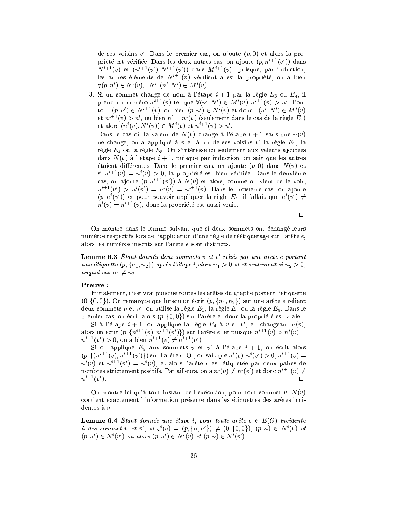de ses voisins  $v'$ . Dans le premier cas, on ajoute  $(p,0)$  et alors la propriété est vérifiée. Dans les deux autres cas, on ajoute  $(p, n^{i+1}(v'))$  dans  $N^{i+1}(v)$  et  $(n^{i+1}(v'), N^{i+1}(v'))$  dans  $M^{i+1}(v)$ ; puisque, par induction, les autres éléments de  $N^{i+1}(v)$  vérifient aussi la propriété, on a bien  $\forall (p, n') \in N^{i}(v), \exists N'; (n', N') \in M^{i}(v).$ 

3. Si un sommet change de nom à l'étape  $i + 1$  par la règle  $E_3$  ou  $E_4$ , il prend un numéro  $n^{i+1}(v)$  tel que  $\forall (n', N') \in M^{i}(v), n^{i+1}(v) > n'$ . Pour tout  $(p, n') \in N^{i+1}(v)$ , ou bien  $(p, n') \in N^{i}(v)$  et donc  $\exists (n', N') \in M^{i}(v)$ et  $n^{i+1}(v) > n'$ , ou bien  $n' = n^{i}(v)$  (seulement dans le cas de la règle  $E_4$ ) et alors  $(n^{i}(v), N^{i}(v)) \in M^{i}(v)$  et  $n^{i+1}(v) > n'$ .

Dans le cas où la valeur de  $N(v)$  change à l'étape  $i+1$  sans que  $n(v)$ ne change, on a appliqué à  $v$  et à un de ses voisins  $v'$  la règle  $E_1$ , la règle  $E_4$  ou la règle  $E_5$ . On s'intéresse ici seulement aux valeurs ajoutées dans  $N(v)$  à l'étape  $i + 1$ , puisque par induction, on sait que les autres étaient différentes. Dans le premier cas, on ajoute  $(p,0)$  dans  $N(v)$  et si  $n^{i+1}(v) = n^{i}(v) > 0$ , la propriété est bien vérifiée. Dans le deuxième cas, on ajoute  $(p, n^{i+1}(v'))$  à  $N(v)$  et alors, comme on vient de le voir,  $n^{i+1}(v') > n^{i}(v') = n^{i}(v) = n^{i+1}(v)$ . Dans le troisième cas, on ajoute  $(p, n^i(v'))$  et pour pouvoir appliquer la règle  $E_4$ , il fallait que  $n^i(v') \neq$  $n^{i}(v) = n^{i+1}(v)$ , donc la propriété est aussi vraie.

 $\Box$ 

On montre dans le lemme suivant que si deux sommets ont échangé leurs numéros respectifs lors de l'application d'une règle de réétiquetage sur l'arête e, alors les numéros inscrits sur l'arête e sont distincts.

**Lemme 6.3** Etant donnés deux sommets  $v$  et  $v'$  reliés par une arête e portant une étiquette  $(p, \{n_1, n_2\})$  après l'étape i, alors  $n_1 > 0$  si et seulement si  $n_2 > 0$ , *auquel cas*  $n_1 \neq n_2$ .

# Preuve:

Initialement, c'est vrai puisque toutes les arêtes du graphe portent l'étiquette  $(0, \{0,0\})$ . On remarque que lorsqu'on écrit  $(p, \{n_1, n_2\})$  sur une arête e reliant deux sommets v et v', on utilise la règle  $E_1$ , la règle  $E_4$  ou la règle  $E_5$ . Dans le premier cas, on écrit alors  $(p, \{0, 0\})$  sur l'arête et donc la propriété est vraie.

Si à l'étape  $i + 1$ , on applique la règle  $E_4$  à v et v', en changeant  $n(v)$ , alors on écrit  $(p, \{n^{i+1}(v), n^{i+1}(v')\})$  sur l'arête e, et puisque  $n^{i+1}(v) > n^{i}(v)$  $n^{i+1}(v') > 0$ , on a bien  $n^{i+1}(v) \neq n^{i+1}(v')$ .

Si on applique  $E_5$  aux sommets v et v' à l'étape  $i + 1$ , on écrit alors  $(p, \{(n^{i+1}(v), n^{i+1}(v'))\})$  sur l'arête e. Or, on sait que  $n^{i}(v), n^{i}(v') > 0, n^{i+1}(v) = 0$  $n^{i}(v)$  et  $n^{i+1}(v') = n^{i}(v)$ , et alors l'arête e est étiquetée par deux paires de nombres strictement positifs. Par ailleurs, on a  $n^{i}(v) \neq n^{i}(v')$  et donc  $n^{i+1}(v) \neq$  $n^{i+1}(v')$ .

On montre ici qu'à tout instant de l'exécution, pour tout sommet  $v, N(v)$ contient exactement l'information présente dans les étiquettes des arêtes incidentes à  $v$ .

**Lemme 6.4** Étant donnée une étape i, pour toute arête  $e \in E(G)$  incidente à des sommet v et v', si  $\varepsilon^{i}(e) = (p, \{n, n'\}) \neq (0, \{0, 0\})$ ,  $(p, n) \in N^{i}(v)$  et  $(p, n') \in N^{i}(v')$  ou alors  $(p, n') \in N^{i}(v)$  et  $(p, n) \in N^{i}(v')$ .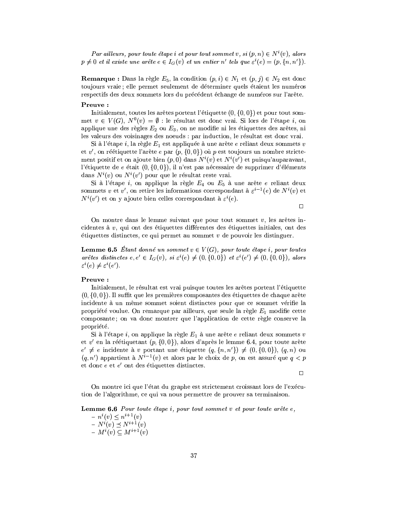Par ailleurs, pour toute étape i et pour tout sommet v, si  $(p, n) \in N^{i}(v)$ , alors  $p \neq 0$  et il existe une arête  $e \in I_G(v)$  et un entier n' tels que  $\varepsilon^i(e) = (p, \{n, n'\})$ .

**Remarque :** Dans la règle  $E_5$ , la condition  $(p, i) \in N_1$  et  $(p, j) \in N_2$  est donc toujours vraie; elle permet seulement de déterminer quels étaient les numéros respectifs des deux sommets lors du précédent échange de numéros sur l'arête.

# Preuve:

Initialement, toutes les arêtes portent l'étiquette  $(0, \{0, 0\})$  et pour tout sommet  $v \in V(G)$ ,  $N^0(v) = \emptyset$  : le résultat est donc vrai. Si lors de l'étape *i*, on applique une des règles  $E_2$  ou  $E_3$ , on ne modifie ni les étiquettes des arêtes, ni les valeurs des voisinages des noeuds : par induction, le résultat est donc vrai.

Si à l'étape i, la règle  $E_1$  est appliquée à une arête e reliant deux sommets v et v', on réétiquette l'arête e par  $(p, \{0, 0\})$  où p est toujours un nombre strictement positif et on ajoute bien  $(p,0)$  dans  $N^i(v)$  et  $N^i(v')$  et puisqu'auparavant, l'étiquette de e était  $(0, \{0, 0\})$ , il n'est pas nécessaire de supprimer d'éléments dans  $N^{i}(v)$  ou  $N^{i}(v')$  pour que le résultat reste vrai.

Si à l'étape i, on applique la règle  $E_4$  ou  $E_5$  à une arête e reliant deux sommets v et v', on retire les informations correspondant à  $\varepsilon^{i-1}(e)$  de  $N^i(v)$  et  $N^{i}(v')$  et on y ajoute bien celles correspondant à  $\varepsilon^{i}(e)$ .

 $\Box$ 

On montre dans le lemme suivant que pour tout sommet  $v$ , les arêtes incidentes à  $v$ , qui ont des étiquettes différentes des étiquettes initiales, ont des etiquettes distinctes, ce qui permet au sommet  $v$  de pouvoir les distinguer.

**Lemme 6.5** Etant donné un sommet  $v \in V(G)$ , pour toute étape i, pour toutes arêtes distinctes  $e, e' \in I_G(v)$ , si  $\varepsilon^i(e) \neq (0, \{0,0\})$  et  $\varepsilon^i(e') \neq (0, \{0,0\})$ , alors  $\varepsilon^{i}(e) \neq \varepsilon^{i}(e').$ 

# Preuve:

Initialement, le résultat est vrai puisque toutes les arêtes portent l'étiquette  $(0, \{0, 0\})$ . Il suffit que les premières composantes des étiquettes de chaque arête incidente à un même sommet soient distinctes pour que ce sommet vérifie la propriété voulue. On remarque par ailleurs, que seule la règle  $E_1$  modifie cette composante; on va donc montrer que l'application de cette règle conserve la propriété.

Si à l'étape i, on applique la règle  $E_1$  à une arête e reliant deux sommets v et v' en la réétiquetant  $(p, \{0, 0\})$ , alors d'après le lemme 6.4, pour toute arête  $e' \neq e$  incidente à v portant une étiquette  $(q, \{n, n'\}) \neq (0, \{0, 0\}), (q, n)$  ou  $(q, n')$  appartient à  $N^{i-1}(v)$  et alors par le choix de p, on est assuré que  $q < p$ et donc  $e$  et  $e'$  ont des étiquettes distinctes.

 $\Box$ 

On montre ici que l'état du graphe est strictement croissant lors de l'exécution de l'algorithme, ce qui va nous permettre de prouver sa terminaison.

**Lemme 6.6** Pour toute étape i, pour tout sommet  $v$  et pour toute arête  $e$ ,

 $- n^{i}(v) \leq n^{i+1}(v)$  $- N^{i}(v) \le N^{i+1}(v)$ <br>  $- M^{i}(v) \subseteq M^{i+1}(v)$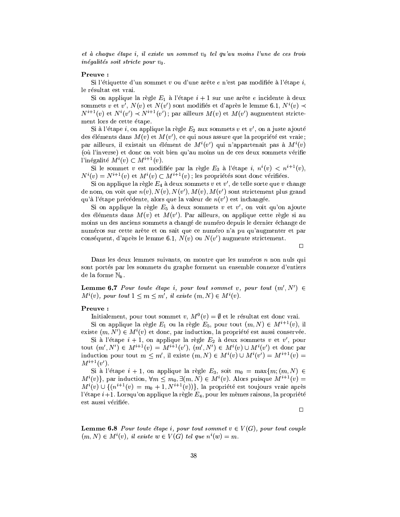et à chaque étape i, il existe un sommet  $v_0$  tel qu'au moins l'une de ces trois inégalités soit stricte pour  $v_0$ .

# Preuve:

Si l'étiquette d'un sommet v ou d'une arête e n'est pas modifiée à l'étape i, le résultat est vrai.

Si on applique la règle  $E_1$  à l'étape  $i + 1$  sur une arête e incidente à deux sommets v et v',  $N(v)$  et  $N(v')$  sont modifiés et d'après le lemme 6.1,  $N^{i}(v) \prec$  $N^{i+1}(v)$  et  $N^i(v') \prec N^{i+1}(v')$ ; par ailleurs  $M(v)$  et  $M(v')$  augmentent strictement lors de cette étape.

Si à l'étape i, on applique la règle  $E_2$  aux sommets v et v', on a juste ajouté des éléments dans  $M(v)$  et  $M(v')$ , ce qui nous assure que la propriété est vraie; par ailleurs, il existait un élément de  $M^{i}(v')$  qui n'appartenait pas à  $M^{i}(v)$ (où l'inverse) et donc on voit bien qu'au moins un de ces deux sommets vérifie l'inégalité  $M^{i}(v) \subset M^{i+1}(v)$ .

Si le sommet v est modifiée par la règle  $E_3$  à l'étape i,  $n^i(v) < n^{i+1}(v)$ ,  $N^{i}(v) = N^{i+1}(v)$  et  $M^{i}(v) \subset M^{i+1}(v)$ ; les propriétés sont donc vérifiées.

Si on applique la règle  $E_4$  à deux sommets v et v', de telle sorte que v change de nom, on voit que  $n(v)$ ,  $N(v)$ ,  $N(v')$ ,  $M(v)$ ,  $M(v')$  sont strictement plus grand qu'à l'étape précédente, alors que la valeur de  $n(v')$  est inchangée.

Si on applique la règle  $E_5$  à deux sommets v et v', on voit qu'on ajoute des éléments dans  $M(v)$  et  $M(v')$ . Par ailleurs, on applique cette règle si au moins un des anciens sommets a changé de numéro depuis le dernier échange de numéros sur cette arête et on sait que ce numéro n'a pu qu'augmenter et par conséquent, d'après le lemme 6.1,  $N(v)$  ou  $N(v')$  augmente strictement.

 $\Box$ 

Dans les deux lemmes suivants, on montre que les numéros  $n$  non nuls qui sont portés par les sommets du graphe forment un ensemble connexe d'entiers de la forme  $\mathbb{N}_k$ .

**Lemme 6.7** Pour toute étape i, pour tout sommet v, pour tout  $(m', N') \in$  $M^{i}(v)$ , pour tout  $1 \leq m \leq m'$ , il existe  $(m, N) \in M^{i}(v)$ .

# Preuve:

Initialement, pour tout sommet v,  $M^0(v) = \emptyset$  et le résultat est donc vrai.

Si on applique la règle  $E_1$  ou la règle  $E_5$ , pour tout  $(m, N) \in M^{i+1}(v)$ , il existe  $(m, N') \in M^{i}(v)$  et donc, par induction, la propriété est aussi conservée.

Si à l'étape  $i + 1$ , on applique la règle  $E_2$  à deux sommets v et v', pour tout  $(m', N') \in M^{i+1}(v) = M^{i+1}(v'), (m', N') \in M^{i}(v) \cup M^{i}(v')$  et donc par induction pour tout  $m \leq m'$ , il existe  $(m, N) \in M^{i}(v) \cup M^{i}(v') = M^{i+1}(v)$  $M^{i+1}(v')$ .

Si à l'étape  $i + 1$ , on applique la règle  $E_3$ , soit  $m_0 = \max\{m; (m, N) \in$  $M^{i}(v)$ , par induction,  $\forall m \leq m_0, \exists (m, N) \in M^{i}(v)$ . Alors puisque  $M^{i+1}(v)$  =  $M^{i}(v) \cup \{(n^{i+1}(v) = m_0 + 1, N^{i+1}(v))\},\$ la propriété est toujours vraie après l'étape  $i+1$ . Lorsqu'on applique la règle  $E_4$ , pour les mêmes raisons, la propriété est aussi vérifiée.

 $\Box$ 

**Lemme 6.8** Pour toute étape i, pour tout sommet  $v \in V(G)$ , pour tout couple  $(m, N) \in M^{i}(v)$ , il existe  $w \in V(G)$  tel que  $n^{i}(w) = m$ .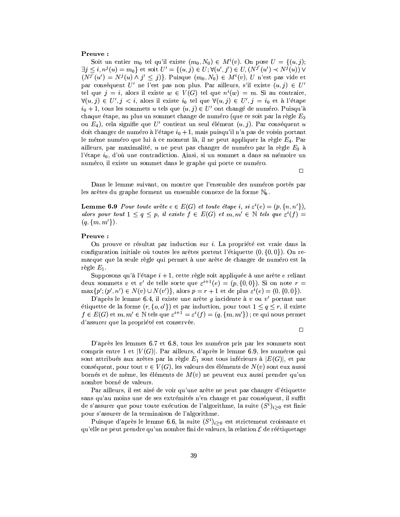# Preuve:

Soit un entier  $m_0$  tel qu'il existe  $(m_0, N_0) \in M^{i}(v)$ . On pose  $U = \{(u, j);$  $\exists j \leq i, n^{j}(u) = m_{0}$  et soit  $U' = \{(u, j) \in U; \forall (u', j') \in U, (N^{j'}(u') \prec N^{j}(u)) \vee$  $(N^{j'}(u') = N^{j}(u) \wedge j' \leq j)$ . Puisque  $(m_0, N_0) \in M^{i}(v)$ , U n'est pas vide et par conséquent U' ne l'est pas non plus. Par ailleurs, s'il existe  $(u, j) \in U'$ tel que  $j = i$ , alors il existe  $w \in V(G)$  tel que  $n^{i}(w) = m$ . Si au contraire,  $\forall (u, j) \in U', j < i$ , alors il existe  $i_0$  tel que  $\forall (u, j) \in U', j = i_0$  et à l'étape  $i_0 + 1$ , tous les sommets u tels que  $(u, j) \in U'$  ont changé de numéro. Puisqu'à chaque étape, au plus un sommet change de numéro (que ce soit par la règle  $E_3$ ou  $E_4$ ), cela signifie que U' contient un seul élément  $(u, j)$ . Par conséquent u doit changer de numéro à l'étape  $i_0 + 1$ , mais puisqu'il n'a pas de voisin portant le même numéro que lui à ce moment là, il ne peut appliquer la règle  $E_4$ . Par ailleurs, par maximalité, u ne peut pas changer de numéro par la règle  $E_3$  à l'étape  $i_0$ , d'où une contradiction. Ainsi, si un sommet a dans sa mémoire un numéro, il existe un sommet dans le graphe qui porte ce numéro.

Dans le lemme suivant, on montre que l'ensemble des numéros portés par les arêtes du graphe forment un ensemble connexe de la forme  $\mathbb{N}_k$ .

**Lemme 6.9** Pour toute arête  $e \in E(G)$  et toute étape i, si  $\varepsilon^{i}(e) = (p, \{n, n'\})$ , alors pour tout  $1 \le q \le p$ , il existe  $f \in E(G)$  et  $m, m' \in \mathbb{N}$  tels que  $\varepsilon^{i}(f) =$  $(q, \{m, m'\})$ .

# Preuve:

On prouve ce résultat par induction sur *i*. La propriété est vraie dans la configuration initiale où toutes les arêtes portent l'étiquette  $(0, \{0, 0\})$ . On remarque que la seule règle qui permet à une arête de changer de numéro est la règle  $E_1$ .

Supposons qu'à l'étape  $i + 1$ , cette règle soit appliquée à une arête e reliant deux sommets v et v' de telle sorte que  $\varepsilon^{i+1}(e) = (p, \{0,0\})$ . Si on note  $r =$  $\max\{p'; (p', n') \in N(v) \cup N(v')\},\$ alors  $p = r + 1$  et de plus  $\varepsilon^{i}(e) = (0, \{0, 0\}).$ 

D'après le lemme 6.4, il existe une arête  $g$  incidente à  $v$  ou  $v'$  portant une étiquette de la forme  $(r, \{o, o'\})$  et par induction, pour tout  $1 \leq q \leq r$ , il existe  $f \in E(G)$  et  $m, m' \in \mathbb{N}$  tels que  $\varepsilon^{i+1} = \varepsilon^i(f) = (q, \{m, m'\})$ ; ce qui nous permet d'assurer que la propriété est conservée.

 $\Box$ 

 $\Box$ 

D'après les lemmes 6.7 et 6.8, tous les numéros pris par les sommets sont compris entre 1 et  $|V(G)|$ . Par ailleurs, d'après le lemme 6.9, les numéros qui sont attribués aux arêtes par la règle  $E_1$  sont tous inférieurs à  $|E(G)|$ , et par conséquent, pour tout  $v \in V(G)$ , les valeurs des éléments de  $N(v)$  sont eux aussi bornés et de même, les éléments de  $M(v)$  ne peuvent eux aussi prendre qu'un nombre borné de valeurs.

Par ailleurs, il est aisé de voir qu'une arête ne peut pas changer d'étiquette sans qu'au moins une de ses extrémités n'en change et par conséquent, il suffit de s'assurer que pour toute exécution de l'algorithme, la suite  $(S<sup>i</sup>)<sub>i>0</sub>$  est finie pour s'assurer de la terminaison de l'algorithme.

Puisque d'après le lemme 6.6, la suite  $(S<sup>i</sup>)<sub>i>0</sub>$  est strictement croissante et qu'elle ne peut prendre qu'un nombre fini de valeurs, la relation  $\mathcal E$  de réétiquetage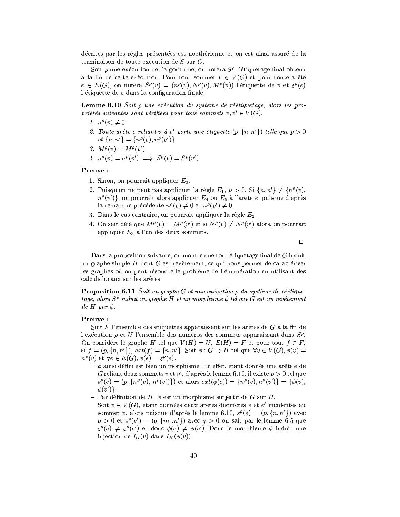décrites par les règles présentées est noethérienne et on est ainsi assuré de la terminaison de toute exécution de  $\mathcal E$  sur G.

Soit  $\rho$  une exécution de l'algorithme, on notera  $S^{\rho}$  l'étiquetage final obtenu à la fin de cette exécution. Pour tout sommet  $v \in V(G)$  et pour toute arête  $e \in E(G)$ , on notera  $S^{\rho}(v) = (n^{\rho}(v), N^{\rho}(v), M^{\rho}(v))$  l'étiquette de v et  $\varepsilon^{\rho}(e)$ l'étiquette de  $e$  dans la configuration finale.

**Lemme 6.10** Soit  $\rho$  une exécution du système de réétiquetage, alors les propriétés suivantes sont vérifiées pour tous sommets  $v, v' \in V(G)$ .

1.  $n^{\rho}(v) \neq 0$ 

- 2. Toute arête e reliant v à v' porte une étiquette  $(p, \{n, n'\})$  telle que  $p > 0$  $et\{n,n'\} = \{n^{\rho}(v),n^{\rho}(v')\}$
- 3.  $M^{\rho}(v) = M^{\rho}(v')$

4.  $n^{\rho}(v) = n^{\rho}(v') \implies S^{\rho}(v) = S^{\rho}(v')$ 

# Preuve:

- 1. Sinon, on pourrait appliquer  $E_3$ .
- 2. Puisqu'on ne peut pas appliquer la règle  $E_1$ ,  $p > 0$ . Si  $\{n, n'\} \neq \{n^{\rho}(v),\}$  $n^{\rho}(v')$ , on pourrait alors appliquer  $E_4$  ou  $E_5$  à l'arête e, puisque d'après la remarque précédente  $n^{\rho}(v) \neq 0$  et  $n^{\rho}(v') \neq 0$ .
- 3. Dans le cas contraire, on pourrait appliquer la règle  $E_2$ .
- 4. On sait déjà que  $M^{\rho}(v) = M^{\rho}(v')$  et si  $N^{\rho}(v) \neq N^{\rho}(v')$  alors, on pourrait appliquer  $E_3$  à l'un des deux sommets.

 $\Box$ 

Dans la proposition suivante, on montre que tout étiquetage final de  $G$  induit un graphe simple H dont G est revêtement, ce qui nous permet de caractériser les graphes où on peut résoudre le problème de l'énumération en utilisant des calculs locaux sur les arêtes.

**Proposition 6.11** Soit un graphe G et une exécution  $\rho$  du système de réétiquetage, alors  $S^{\rho}$  induit un graphe H et un morphisme  $\phi$  tel que G est un revêtement de H par  $\phi$ .

# Preuve:

Soit F l'ensemble des étiquettes apparaissant sur les arêtes de G à la fin de l'exécution  $\rho$  et U l'ensemble des numéros des sommets apparaissant dans  $S^{\rho}$ . On considère le graphe H tel que  $V(H) = U$ ,  $E(H) = F$  et pour tout  $f \in F$ , si  $f = (p, \{n, n'\})$ ,  $ext(f) = \{n, n'\}$ . Soit  $\phi : G \to H$  tel que  $\forall v \in V(G), \phi(v) =$  $n^{\rho}(v)$  et  $\forall e \in E(G), \phi(e) = \varepsilon^{\rho}(e)$ .

- $\phi$  ainsi défini est bien un morphisme. En effet, étant donnée une arête e de G reliant deux sommets v et v', d'après le lemme 6.10, il existe  $p > 0$  tel que  $\varepsilon^{\rho}(e) = (p, \{n^{\rho}(v), n^{\rho}(v')\})$  et alors  $ext(\phi(e)) = \{n^{\rho}(v), n^{\rho}(v')\} = \{\phi(v),$  $\phi(v')$ .
- Par définition de H,  $\phi$  est un morphisme surjectif de G sur H.
- Soit  $v \in V(G)$ , étant données deux arêtes distinctes e et e' incidentes au sommet v, alors puisque d'après le lemme 6.10,  $\varepsilon^{\rho}(e) = (p, \{n, n'\})$  avec  $p > 0$  et  $\varepsilon^{\rho}(e') = (q, \{m, m'\})$  avec  $q > 0$  on sait par le lemme 6.5 que  $\varepsilon^{\rho}(e) \neq \varepsilon^{\rho}(e')$  et donc  $\phi(e) \neq \phi(e')$ . Donc le morphisme  $\phi$  induit une injection de  $I_G(v)$  dans  $I_H(\phi(v))$ .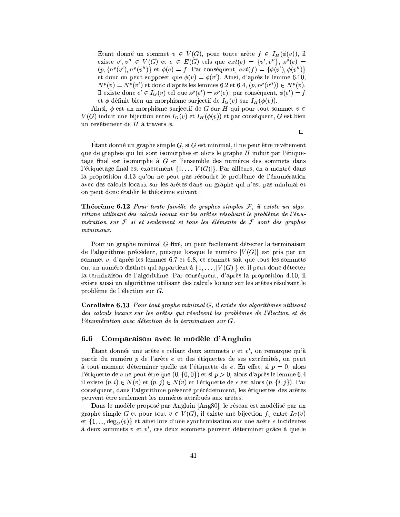- Étant donné un sommet  $v \in V(G)$ , pour toute arête  $f \in I_H(\phi(v))$ , il existe  $v', v'' \in V(G)$  et  $e \in E(G)$  tels que  $ext(e) = \{v', v''\}, \varepsilon^{\rho}(e) =$  $(p, \{n^{\rho}(v'), n^{\rho}(v'')\}$  et  $\phi(e) = f$ . Par conséquent,  $ext(f) = {\phi(v'), \phi(v'')}$ et donc on peut supposer que  $\phi(v) = \phi(v')$ . Ainsi, d'après le lemme 6.10,  $N^{\rho}(v) = N^{\rho}(v')$  et donc d'après les lemmes 6.2 et 6.4,  $(p, n^{\rho}(v'')) \in N^{\rho}(v)$ . Il existe donc  $e' \in I_G(v)$  tel que  $\varepsilon^{\rho}(e') = \varepsilon^{\rho}(e)$ ; par conséquent,  $\phi(e') = f$ et  $\phi$  définit bien un morphisme surjectif de  $I_G(v)$  sur  $I_H(\phi(v))$ .

Ainsi,  $\phi$  est un morphisme surjectif de G sur H qui pour tout sommet  $v \in$  $V(G)$  induit une bijection entre  $I_G(v)$  et  $I_H(\phi(v))$  et par conséquent, G est bien un revêtement de H à travers  $\phi$ .

 $\Box$ 

Étant donné un graphe simple  $G$ , si  $G$  est minimal, il ne peut être revêtement que de graphes qui lui sont isomorphes et alors le graphe H induit par l'étiquetage final est isomorphe à  $G$  et l'ensemble des numéros des sommets dans l'étiquetage final est exactement  $\{1, \ldots |V(G)|\}$ . Par ailleurs, on a montré dans la proposition 4.13 qu'on ne peut pas résoudre le problème de l'énumération avec des calculs locaux sur les arêtes dans un graphe qui n'est pas minimal et on peut donc établir le théorème suivant :

**Theoreme 6.12** Pour toute famille de graphes simples  $F$ , il existe un algorithme utilisant des calculs locaux sur les arêtes résolvant le problème de l'énumération sur  $\mathcal F$  si et seulement si tous les éléments de  $\mathcal F$  sont des graphes  $minimax.$ 

Pour un graphe minimal G fixé, on peut facilement détecter la terminaison de l'algorithme précédent, puisque lorsque le numéro  $|V(G)|$  est pris par un sommet  $v$ , d'après les lemmes 6.7 et 6.8, ce sommet sait que tous les sommets ont un numéro distinct qui appartient à  $\{1,\ldots,|V(G)|\}$  et il peut donc détecter la terminaison de l'algorithme. Par conséquent, d'après la proposition 4.10, il existe aussi un algorithme utilisant des calculs locaux sur les arêtes résolvant le problème de l'élection sur  $G$ .

**Corollaire 6.13** Pour tout graphe minimal  $G$ , il existe des algorithmes utilisant des calculs locaux sur les arêtes qui résolvent les problèmes de l'élection et de l'énumération avec détection de la terminaison sur G.

### Comparaison avec le modèle d'Angluin  $6.6$

Étant donnée une arête e reliant deux sommets  $v$  et  $v'$ , on remarque qu'à partir du numéro p de l'arête e et des étiquettes de ses extrémités, on peut à tout moment déterminer quelle est l'étiquette de e. En effet, si  $p = 0$ , alors l'étiquette de  $e$  ne peut être que  $(0, \{0, 0\})$  et si  $p > 0$ , alors d'après le lemme 6.4 il existe  $(p, i) \in N(v)$  et  $(p, j) \in N(v)$  et l'étiquette de e est alors  $(p, \{i, j\})$ . Par conséquent, dans l'algorithme présenté précédemment, les étiquettes des arêtes peuvent être seulement les numéros attribués aux arêtes.

Dans le modèle proposé par Angluin [Ang80], le réseau est modélisé par un graphe simple G et pour tout  $v \in V(G)$ , il existe une bijection  $f_v$  entre  $I_G(v)$ et  $\{1, ..., deg_G(v)\}\$ et ainsi lors d'une synchronisation sur une arête e incidentes à deux sommets  $v$  et  $v'$ , ces deux sommets peuvent déterminer grâce à quelle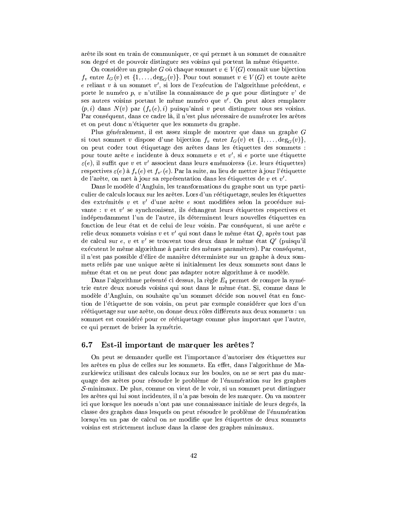arête ils sont en train de communiquer, ce qui permet à un sommet de connaître son degré et de pouvoir distinguer ses voisins qui portent la même étiquette.

On considère un graphe G où chaque sommet  $v \in V(G)$  connaît une bijection  $f_v$  entre  $I_G(v)$  et  $\{1,\ldots,\deg_G(v)\}\)$ . Pour tout sommet  $v \in V(G)$  et toute arête e reliant  $v$  à un sommet  $v'$ , si lors de l'exécution de l'algorithme précédent, e porte le numéro  $p, v$  n'utilise la connaissance de  $p$  que pour distinguer  $v'$  de ses autres voisins portant le même numéro que  $v'$ . On peut alors remplacer  $(p, i)$  dans  $N(v)$  par  $(f_v(e), i)$  puisqu'ainsi v peut distinguer tous ses voisins. Par conséquent, dans ce cadre là, il n'est plus nécessaire de numéroter les arêtes et on peut donc n'étiqueter que les sommets du graphe.

Plus généralement, il est assez simple de montrer que dans un graphe G si tout sommet v dispose d'une bijection  $f_v$  entre  $I_G(v)$  et  $\{1,\ldots,\deg_G(v)\},$ on peut coder tout étiquetage des arêtes dans les étiquettes des sommets : pour toute arête e incidente à deux sommets  $v$  et  $v'$ , si e porte une étiquette  $\varepsilon(e)$ , il suffit que v et v' associent dans leurs «mémoires» (i.e. leurs étiquettes) respectives  $\varepsilon(e)$  à  $f_v(e)$  et  $f_{v'}(e)$ . Par la suite, au lieu de mettre à jour l'étiquette de l'arête, on met à jour sa représentation dans les étiquettes de  $v$  et  $v'$ .

Dans le modèle d'Angluin, les transformations du graphe sont un type particulier de calculs locaux sur les arêtes. Lors d'un réétiquetage, seules les étiquettes des extrémités  $v$  et  $v'$  d'une arête e sont modifiées selon la procédure suivante :  $v$  et  $v'$  se synchronisent, ils échangent leurs étiquettes respectives et indépendamment l'un de l'autre, ils déterminent leurs nouvelles étiquettes en fonction de leur état et de celui de leur voisin. Par conséquent, si une arête e relie deux sommets voisins  $v$  et  $v'$  qui sont dans le même état  $Q$ , après tout pas de calcul sur e, v et v' se trouvent tous deux dans le même état  $Q'$  (puisqu'il exécutent le même algorithme à partir des mêmes paramètres). Par conséquent, il n'est pas possible d'élire de manière déterministe sur un graphe à deux sommets reliés par une unique arête si initialement les deux sommets sont dans le même état et on ne peut donc pas adapter notre algorithme à ce modèle.

Dans l'algorithme présenté ci dessus, la règle  $E_4$  permet de rompre la symétrie entre deux noeuds voisins qui sont dans le même état. Si, comme dans le modèle d'Angluin, on souhaite qu'un sommet décide son nouvel état en fonction de l'étiquette de son voisin, on peut par exemple considérer que lors d'un réétiquetage sur une arête, on donne deux rôles différents aux deux sommets : un sommet est considéré pour ce réétiquetage comme plus important que l'autre, ce qui permet de briser la symétrie.

### $6.7$ Est-il important de marquer les arêtes?

On peut se demander quelle est l'importance d'autoriser des étiquettes sur les arêtes en plus de celles sur les sommets. En effet, dans l'algorithme de Mazurkiewicz utilisant des calculs locaux sur les boules, on ne se sert pas du marquage des arêtes pour résoudre le problème de l'énumération sur les graphes  $\mathcal{S}\text{-minimax}$ . De plus, comme on vient de le voir, si un sommet peut distinguer les arêtes qui lui sont incidentes, il n'a pas besoin de les marquer. On va montrer ici que lorsque les noeuds n'ont pas une connaissance initiale de leurs degrés, la classe des graphes dans lesquels on peut résoudre le problème de l'énumération lorsqu'en un pas de calcul on ne modifie que les étiquettes de deux sommets voisins est strictement incluse dans la classe des graphes minimaux.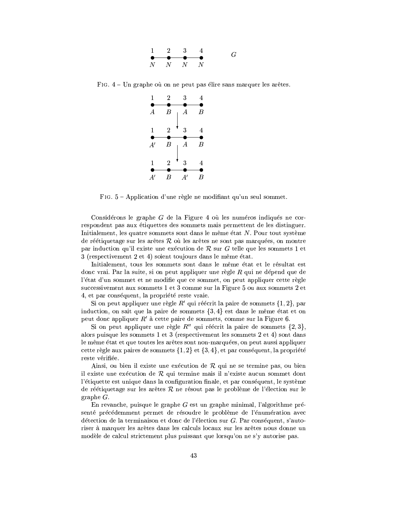| $\mathbf{1}$ | $\sim$ 2 3                              |   |               | G |
|--------------|-----------------------------------------|---|---------------|---|
|              | $\bullet$ $\bullet$ $\bullet$ $\bullet$ |   |               |   |
| Ν            | $\mathbb{N}$                            | N | $\mathcal{N}$ |   |

FIG.  $4$  – Un graphe où on ne peut pas élire sans marquer les arêtes.



FIG. 5 - Application d'une règle ne modifiant qu'un seul sommet.

Considérons le graphe  $G$  de la Figure 4 où les numéros indiqués ne correspondent pas aux étiquettes des sommets mais permettent de les distinguer. Initialement, les quatre sommets sont dans le même état N. Pour tout système de réétiquetage sur les arêtes  $R$  où les arêtes ne sont pas marquées, on montre par induction qu'il existe une exécution de  $R$  sur G telle que les sommets 1 et 3 (respectivement 2 et 4) soient toujours dans le même état.

Initialement, tous les sommets sont dans le même état et le résultat est donc vrai. Par la suite, si on peut appliquer une règle  $R$  qui ne dépend que de l'état d'un sommet et ne modifie que ce sommet, on peut appliquer cette règle successivement aux sommets 1 et 3 comme sur la Figure 5 ou aux sommets 2 et 4, et par conséquent, la propriété reste vraie.

Si on peut appliquer une règle R' qui réécrit la paire de sommets  $\{1,2\}$ , par induction, on sait que la paire de sommets  $\{3, 4\}$  est dans le même état et on peut donc appliquer  $R'$  à cette paire de sommets, comme sur la Figure 6.

Si on peut appliquer une règle  $R''$  qui réécrit la paire de sommets  $\{2,3\}$ , alors puisque les sommets 1 et 3 (respectivement les sommets 2 et 4) sont dans le même état et que toutes les arêtes sont non-marquées, on peut aussi appliquer cette règle aux paires de sommets  $\{1,2\}$  et  $\{3,4\}$ , et par conséquent, la propriété reste vérifiée.

Ainsi, ou bien il existe une exécution de  $R$  qui ne se termine pas, ou bien il existe une exécution de  $R$  qui termine mais il n'existe aucun sommet dont l'étiquette est unique dans la configuration finale, et par conséquent, le système de réétiquetage sur les arêtes  $R$  ne résout pas le problème de l'élection sur le graphe  $G$ .

En revanche, puisque le graphe  $G$  est un graphe minimal, l'algorithme présenté précédemment permet de résoudre le problème de l'énumération avec détection de la terminaison et donc de l'élection sur G. Par conséquent, s'autoriser à marquer les arêtes dans les calculs locaux sur les arêtes nous donne un modèle de calcul strictement plus puissant que lorsqu'on ne s'y autorise pas.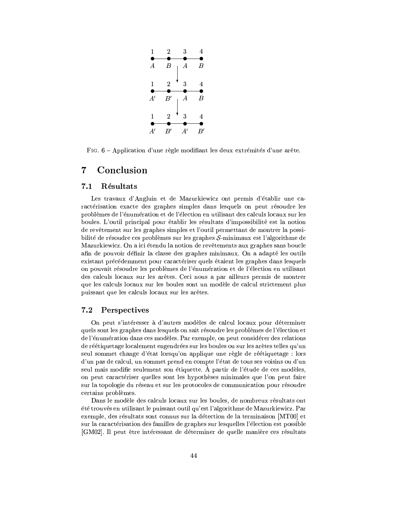

FIG. 6 - Application d'une règle modifiant les deux extrémités d'une arête.

### $\overline{7}$  ${\bf Conclusion}$

### $7.1$ Résultats

Les travaux d'Angluin et de Mazurkiewicz ont permis d'établir une caractérisation exacte des graphes simples dans lesquels on peut résoudre les problèmes de l'énumération et de l'élection en utilisant des calculs locaux sur les boules. L'outil principal pour établir les résultats d'impossibilité est la notion de revêtement sur les graphes simples et l'outil permettant de montrer la possibilité de résoudre ces problèmes sur les graphes  $S$ -minimaux est l'algorithme de Mazurkiewicz. On a ici étendu la notion de revêtements aux graphes sans boucle afin de pouvoir définir la classe des graphes minimaux. On a adapté les outils existant précédemment pour caractériser quels étaient les graphes dans lesquels on pouvait résoudre les problèmes de l'énumération et de l'élection en utilisant des calculs locaux sur les arêtes. Ceci nous a par ailleurs permis de montrer que les calculs locaux sur les boules sont un modèle de calcul strictement plus puissant que les calculs locaux sur les arêtes.

### $\bf 7.2$ Perspectives

On peut s'intéresser à d'autres modèles de calcul locaux pour déterminer quels sont les graphes dans lesquels on sait résoudre les problèmes de l'élection et de l'énumération dans ces modèles. Par exemple, on peut considérer des relations de réétiquetage localement engendrées sur les boules ou sur les arêtes telles qu'un seul sommet change d'état lorsqu'on applique une règle de réétiquetage : lors d'un pas de calcul, un sommet prend en compte l'état de tous ses voisins ou d'un seul mais modifie seulement son étiquette. À partir de l'étude de ces modèles, on peut caractériser quelles sont les hypothèses minimales que l'on peut faire sur la topologie du réseau et sur les protocoles de communication pour résoudre certains problèmes.

Dans le modèle des calculs locaux sur les boules, de nombreux résultats ont été trouvés en utilisant le puissant outil qu'est l'algorithme de Mazurkiewicz. Par exemple, des résultats sont connus sur la détection de la terminaison [MT00] et sur la caractérisation des familles de graphes sur lesquelles l'élection est possible [GM02]. Il peut être intéressant de déterminer de quelle manière ces résultats